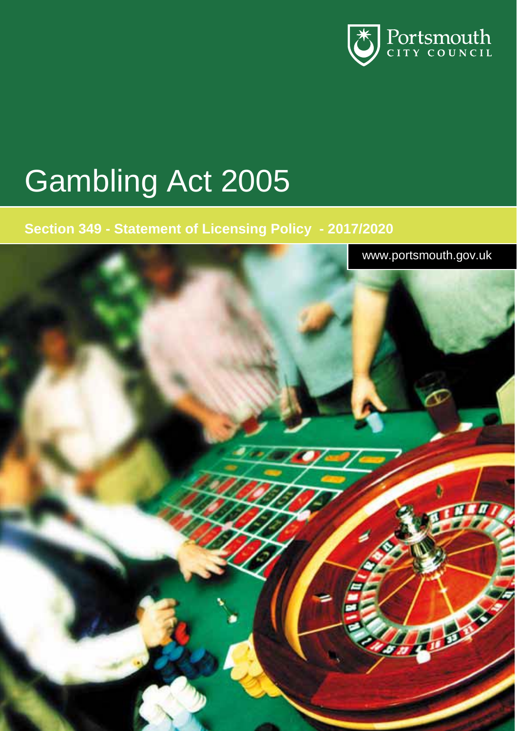

# Gambling Act 2005

### **Section 349 - Statement of Licensing Policy - 2017/2020**

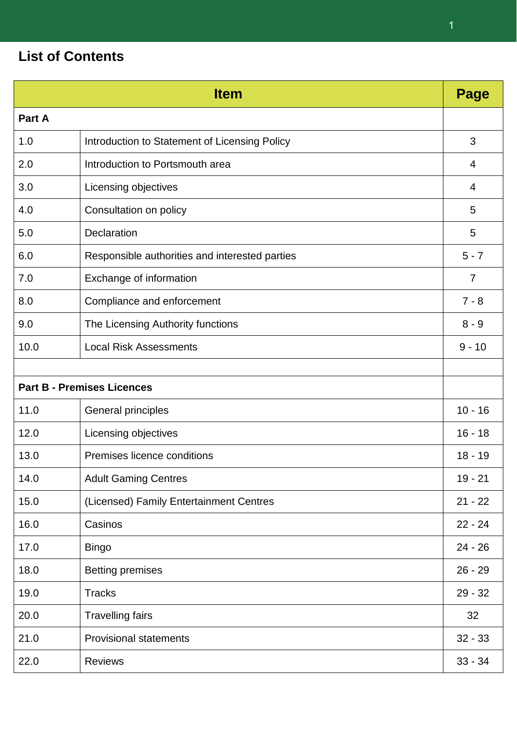### **List of Contents**

|        | <b>Item</b>                                    | Page           |
|--------|------------------------------------------------|----------------|
| Part A |                                                |                |
| 1.0    | Introduction to Statement of Licensing Policy  | 3              |
| 2.0    | Introduction to Portsmouth area                | 4              |
| 3.0    | Licensing objectives                           | 4              |
| 4.0    | Consultation on policy                         | 5              |
| 5.0    | Declaration                                    | 5              |
| 6.0    | Responsible authorities and interested parties | $5 - 7$        |
| 7.0    | Exchange of information                        | $\overline{7}$ |
| 8.0    | Compliance and enforcement                     | $7 - 8$        |
| 9.0    | The Licensing Authority functions              | $8 - 9$        |
| 10.0   | <b>Local Risk Assessments</b>                  | $9 - 10$       |
|        |                                                |                |
|        | <b>Part B - Premises Licences</b>              |                |
| 11.0   | General principles                             | $10 - 16$      |
| 12.0   | Licensing objectives                           | $16 - 18$      |
| 13.0   | Premises licence conditions                    | $18 - 19$      |
| 14.0   | <b>Adult Gaming Centres</b>                    | $19 - 21$      |
| 15.0   | (Licensed) Family Entertainment Centres        | $21 - 22$      |
| 16.0   | Casinos                                        | $22 - 24$      |
| 17.0   | <b>Bingo</b>                                   | $24 - 26$      |
| 18.0   | <b>Betting premises</b>                        | $26 - 29$      |
| 19.0   | <b>Tracks</b>                                  | $29 - 32$      |
| 20.0   | <b>Travelling fairs</b>                        | 32             |
| 21.0   | <b>Provisional statements</b>                  | $32 - 33$      |
| 22.0   | <b>Reviews</b>                                 | $33 - 34$      |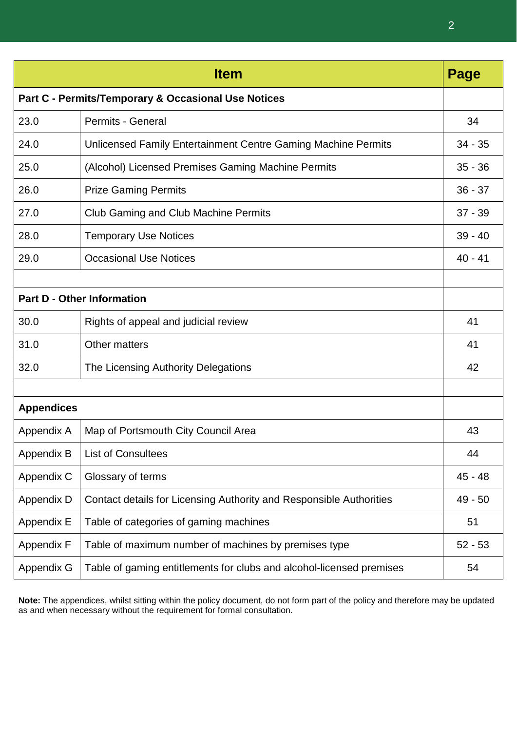| <b>Item</b><br>Page                                 |                                                                      |           |  |  |  |
|-----------------------------------------------------|----------------------------------------------------------------------|-----------|--|--|--|
| Part C - Permits/Temporary & Occasional Use Notices |                                                                      |           |  |  |  |
| 23.0                                                | <b>Permits - General</b>                                             | 34        |  |  |  |
| 24.0                                                | Unlicensed Family Entertainment Centre Gaming Machine Permits        | $34 - 35$ |  |  |  |
| 25.0                                                | (Alcohol) Licensed Premises Gaming Machine Permits                   | $35 - 36$ |  |  |  |
| 26.0                                                | <b>Prize Gaming Permits</b>                                          | $36 - 37$ |  |  |  |
| 27.0                                                | <b>Club Gaming and Club Machine Permits</b>                          | $37 - 39$ |  |  |  |
| 28.0                                                | <b>Temporary Use Notices</b>                                         | $39 - 40$ |  |  |  |
| 29.0                                                | <b>Occasional Use Notices</b>                                        | $40 - 41$ |  |  |  |
|                                                     |                                                                      |           |  |  |  |
|                                                     | <b>Part D - Other Information</b>                                    |           |  |  |  |
| 30.0                                                | Rights of appeal and judicial review                                 | 41        |  |  |  |
| 31.0                                                | <b>Other matters</b>                                                 | 41        |  |  |  |
| 32.0                                                | The Licensing Authority Delegations                                  | 42        |  |  |  |
|                                                     |                                                                      |           |  |  |  |
| <b>Appendices</b>                                   |                                                                      |           |  |  |  |
| Appendix A                                          | Map of Portsmouth City Council Area                                  | 43        |  |  |  |
| Appendix B                                          | <b>List of Consultees</b>                                            | 44        |  |  |  |
| Appendix C                                          | Glossary of terms                                                    | 45 - 48   |  |  |  |
| Appendix D                                          | Contact details for Licensing Authority and Responsible Authorities  | $49 - 50$ |  |  |  |
| Appendix E                                          | Table of categories of gaming machines                               | 51        |  |  |  |
| Appendix F                                          | Table of maximum number of machines by premises type                 | $52 - 53$ |  |  |  |
| Appendix G                                          | Table of gaming entitlements for clubs and alcohol-licensed premises | 54        |  |  |  |

**Note:** The appendices, whilst sitting within the policy document, do not form part of the policy and therefore may be updated as and when necessary without the requirement for formal consultation.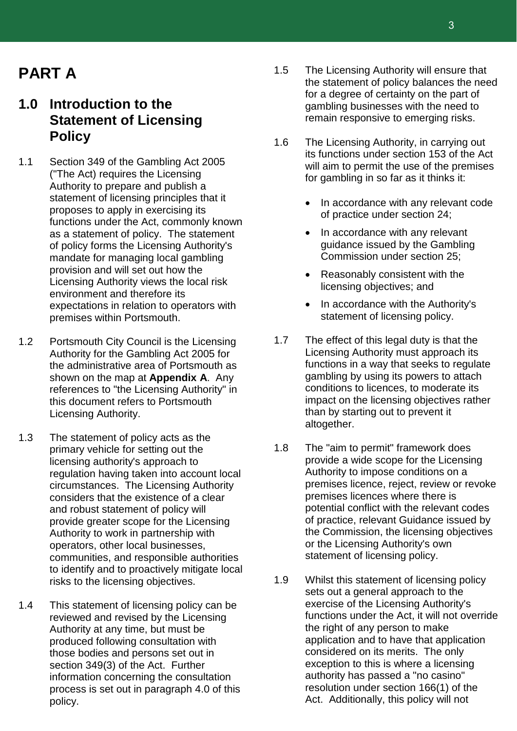### **PART A**

### **1.0 Introduction to the Statement of Licensing Policy**

- 1.1 Section 349 of the Gambling Act 2005 ("The Act) requires the Licensing Authority to prepare and publish a statement of licensing principles that it proposes to apply in exercising its functions under the Act, commonly known as a statement of policy. The statement of policy forms the Licensing Authority's mandate for managing local gambling provision and will set out how the Licensing Authority views the local risk environment and therefore its expectations in relation to operators with premises within Portsmouth.
- 1.2 Portsmouth City Council is the Licensing Authority for the Gambling Act 2005 for the administrative area of Portsmouth as shown on the map at **Appendix A**. Any references to "the Licensing Authority" in this document refers to Portsmouth Licensing Authority.
- 1.3 The statement of policy acts as the primary vehicle for setting out the licensing authority's approach to regulation having taken into account local circumstances. The Licensing Authority considers that the existence of a clear and robust statement of policy will provide greater scope for the Licensing Authority to work in partnership with operators, other local businesses, communities, and responsible authorities to identify and to proactively mitigate local risks to the licensing objectives.
- 1.4 This statement of licensing policy can be reviewed and revised by the Licensing Authority at any time, but must be produced following consultation with those bodies and persons set out in section 349(3) of the Act. Further information concerning the consultation process is set out in paragraph 4.0 of this policy.
- 1.5 The Licensing Authority will ensure that the statement of policy balances the need for a degree of certainty on the part of gambling businesses with the need to remain responsive to emerging risks.
- 1.6 The Licensing Authority, in carrying out its functions under section 153 of the Act will aim to permit the use of the premises for gambling in so far as it thinks it:
	- In accordance with any relevant code of practice under section 24;
	- In accordance with any relevant guidance issued by the Gambling Commission under section 25;
	- Reasonably consistent with the licensing objectives; and
	- In accordance with the Authority's statement of licensing policy.
- 1.7 The effect of this legal duty is that the Licensing Authority must approach its functions in a way that seeks to regulate gambling by using its powers to attach conditions to licences, to moderate its impact on the licensing objectives rather than by starting out to prevent it altogether.
- 1.8 The "aim to permit" framework does provide a wide scope for the Licensing Authority to impose conditions on a premises licence, reject, review or revoke premises licences where there is potential conflict with the relevant codes of practice, relevant Guidance issued by the Commission, the licensing objectives or the Licensing Authority's own statement of licensing policy.
- 1.9 Whilst this statement of licensing policy sets out a general approach to the exercise of the Licensing Authority's functions under the Act, it will not override the right of any person to make application and to have that application considered on its merits. The only exception to this is where a licensing authority has passed a "no casino" resolution under section 166(1) of the Act. Additionally, this policy will not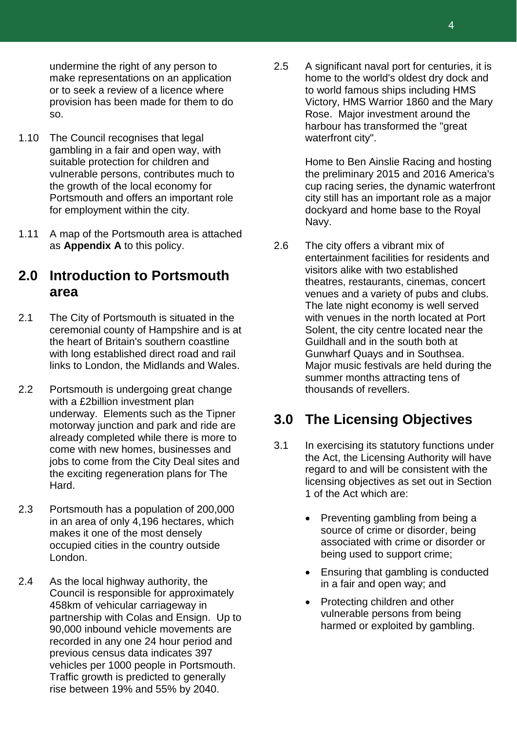undermine the right of any person to make representations on an application or to seek a review of a licence where provision has been made for them to do so.

- 1.10 The Council recognises that legal gambling in a fair and open way, with suitable protection for children and vulnerable persons, contributes much to the growth of the local economy for Portsmouth and offers an important role for employment within the city.
- 1.11 A map of the Portsmouth area is attached as **Appendix A** to this policy.

### **2.0 Introduction to Portsmouth area**

- 2.1 The City of Portsmouth is situated in the ceremonial county of Hampshire and is at the heart of Britain's southern coastline with long established direct road and rail links to London, the Midlands and Wales.
- 2.2 Portsmouth is undergoing great change with a £2billion investment plan underway. Elements such as the Tipner motorway junction and park and ride are already completed while there is more to come with new homes, businesses and jobs to come from the City Deal sites and the exciting regeneration plans for The Hard.
- 2.3 Portsmouth has a population of 200,000 in an area of only 4,196 hectares, which makes it one of the most densely occupied cities in the country outside London.
- 2.4 As the local highway authority, the Council is responsible for approximately 458km of vehicular carriageway in partnership with Colas and Ensign. Up to 90,000 inbound vehicle movements are recorded in any one 24 hour period and previous census data indicates 397 vehicles per 1000 people in Portsmouth. Traffic growth is predicted to generally rise between 19% and 55% by 2040.

2.5 A significant naval port for centuries, it is home to the world's oldest dry dock and to world famous ships including HMS Victory, HMS Warrior 1860 and the Mary Rose. Major investment around the harbour has transformed the "great waterfront city".

> Home to Ben Ainslie Racing and hosting the preliminary 2015 and 2016 America's cup racing series, the dynamic waterfront city still has an important role as a major dockyard and home base to the Royal Navy.

2.6 The city offers a vibrant mix of entertainment facilities for residents and visitors alike with two established theatres, restaurants, cinemas, concert venues and a variety of pubs and clubs. The late night economy is well served with venues in the north located at Port Solent, the city centre located near the Guildhall and in the south both at Gunwharf Quays and in Southsea. Major music festivals are held during the summer months attracting tens of thousands of revellers.

### **3.0 The Licensing Objectives**

- 3.1 In exercising its statutory functions under the Act, the Licensing Authority will have regard to and will be consistent with the licensing objectives as set out in Section 1 of the Act which are:
	- Preventing gambling from being a source of crime or disorder, being associated with crime or disorder or being used to support crime;
	- Ensuring that gambling is conducted in a fair and open way; and
	- Protecting children and other vulnerable persons from being harmed or exploited by gambling.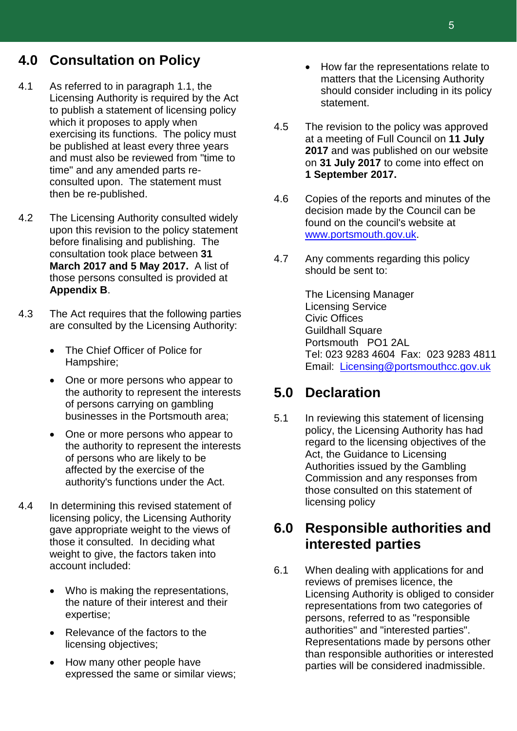### **4.0 Consultation on Policy**

- 4.1 As referred to in paragraph 1.1, the Licensing Authority is required by the Act to publish a statement of licensing policy which it proposes to apply when exercising its functions. The policy must be published at least every three years and must also be reviewed from "time to time" and any amended parts reconsulted upon. The statement must then be re-published.
- 4.2 The Licensing Authority consulted widely upon this revision to the policy statement before finalising and publishing. The consultation took place between **31 March 2017 and 5 May 2017.** A list of those persons consulted is provided at **Appendix B**.
- 4.3 The Act requires that the following parties are consulted by the Licensing Authority:
	- The Chief Officer of Police for Hampshire;
	- One or more persons who appear to the authority to represent the interests of persons carrying on gambling businesses in the Portsmouth area;
	- One or more persons who appear to the authority to represent the interests of persons who are likely to be affected by the exercise of the authority's functions under the Act.
- 4.4 In determining this revised statement of licensing policy, the Licensing Authority gave appropriate weight to the views of those it consulted. In deciding what weight to give, the factors taken into account included:
	- Who is making the representations, the nature of their interest and their expertise;
	- Relevance of the factors to the licensing objectives;
	- How many other people have expressed the same or similar views;
- How far the representations relate to matters that the Licensing Authority should consider including in its policy statement.
- 4.5 The revision to the policy was approved at a meeting of Full Council on **11 July 2017** and was published on our website on **31 July 2017** to come into effect on **1 September 2017.**
- 4.6 Copies of the reports and minutes of the decision made by the Council can be found on the council's website at [www.portsmouth.gov.uk.](http://www.portsmouth.gov.uk/)
- 4.7 Any comments regarding this policy should be sent to:

The Licensing Manager Licensing Service Civic Offices Guildhall Square Portsmouth PO1 2AL Tel: 023 9283 4604 Fax: 023 9283 4811 Email: [Licensing@portsmouthcc.gov.uk](mailto:Licensing@portsmouthcc.gov.uk)

### **5.0 Declaration**

5.1 In reviewing this statement of licensing policy, the Licensing Authority has had regard to the licensing objectives of the Act, the Guidance to Licensing Authorities issued by the Gambling Commission and any responses from those consulted on this statement of licensing policy

### **6.0 Responsible authorities and interested parties**

6.1 When dealing with applications for and reviews of premises licence, the Licensing Authority is obliged to consider representations from two categories of persons, referred to as "responsible authorities" and "interested parties". Representations made by persons other than responsible authorities or interested parties will be considered inadmissible.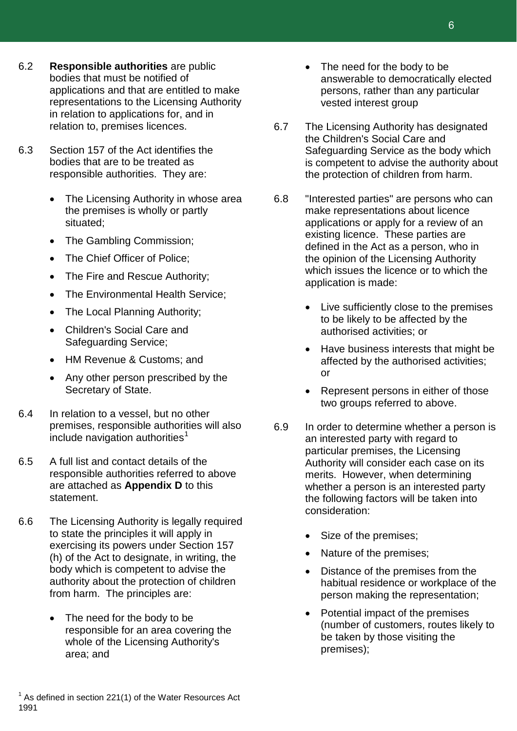- 6.2 **Responsible authorities** are public bodies that must be notified of applications and that are entitled to make representations to the Licensing Authority in relation to applications for, and in relation to, premises licences.
- 6.3 Section 157 of the Act identifies the bodies that are to be treated as responsible authorities. They are:
	- The Licensing Authority in whose area the premises is wholly or partly situated;
	- The Gambling Commission;
	- The Chief Officer of Police;
	- The Fire and Rescue Authority;
	- The Environmental Health Service;
	- The Local Planning Authority;
	- Children's Social Care and Safeguarding Service;
	- HM Revenue & Customs; and
	- Any other person prescribed by the Secretary of State.
- 6.4 In relation to a vessel, but no other premises, responsible authorities will also include navigation authorities $<sup>1</sup>$  $<sup>1</sup>$  $<sup>1</sup>$ </sup>
- 6.5 A full list and contact details of the responsible authorities referred to above are attached as **Appendix D** to this statement.
- <span id="page-6-0"></span>6.6 The Licensing Authority is legally required to state the principles it will apply in exercising its powers under Section 157 (h) of the Act to designate, in writing, the body which is competent to advise the authority about the protection of children from harm. The principles are:
	- The need for the body to be responsible for an area covering the whole of the Licensing Authority's area; and
- The need for the body to be answerable to democratically elected persons, rather than any particular vested interest group
- 6.7 The Licensing Authority has designated the Children's Social Care and Safeguarding Service as the body which is competent to advise the authority about the protection of children from harm.
- 6.8 "Interested parties" are persons who can make representations about licence applications or apply for a review of an existing licence. These parties are defined in the Act as a person, who in the opinion of the Licensing Authority which issues the licence or to which the application is made:
	- Live sufficiently close to the premises to be likely to be affected by the authorised activities; or
	- Have business interests that might be affected by the authorised activities; or
	- Represent persons in either of those two groups referred to above.
- 6.9 In order to determine whether a person is an interested party with regard to particular premises, the Licensing Authority will consider each case on its merits. However, when determining whether a person is an interested party the following factors will be taken into consideration:
	- Size of the premises;
	- Nature of the premises;
	- Distance of the premises from the habitual residence or workplace of the person making the representation;
	- Potential impact of the premises (number of customers, routes likely to be taken by those visiting the premises);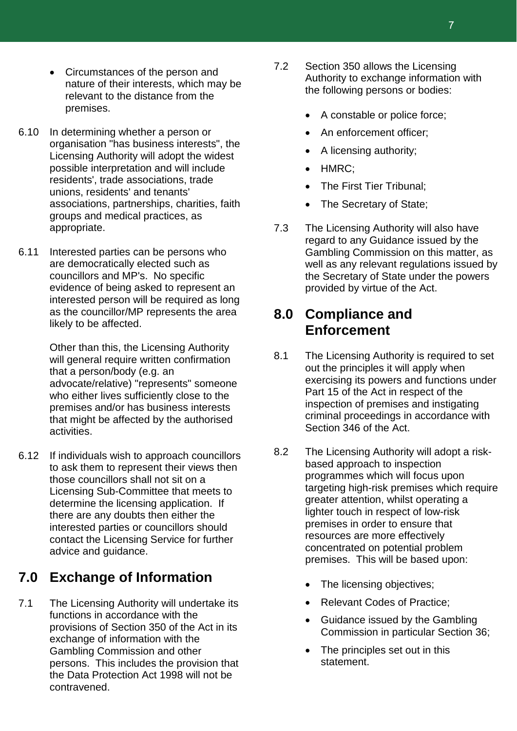- Circumstances of the person and nature of their interests, which may be relevant to the distance from the premises.
- 6.10 In determining whether a person or organisation "has business interests", the Licensing Authority will adopt the widest possible interpretation and will include residents', trade associations, trade unions, residents' and tenants' associations, partnerships, charities, faith groups and medical practices, as appropriate.
- 6.11 Interested parties can be persons who are democratically elected such as councillors and MP's. No specific evidence of being asked to represent an interested person will be required as long as the councillor/MP represents the area likely to be affected.

Other than this, the Licensing Authority will general require written confirmation that a person/body (e.g. an advocate/relative) "represents" someone who either lives sufficiently close to the premises and/or has business interests that might be affected by the authorised activities.

6.12 If individuals wish to approach councillors to ask them to represent their views then those councillors shall not sit on a Licensing Sub-Committee that meets to determine the licensing application. If there are any doubts then either the interested parties or councillors should contact the Licensing Service for further advice and guidance.

### **7.0 Exchange of Information**

7.1 The Licensing Authority will undertake its functions in accordance with the provisions of Section 350 of the Act in its exchange of information with the Gambling Commission and other persons. This includes the provision that the Data Protection Act 1998 will not be contravened.

- 7.2 Section 350 allows the Licensing Authority to exchange information with the following persons or bodies:
	- A constable or police force;
	- An enforcement officer;
	- A licensing authority;
	- HMRC;
	- The First Tier Tribunal:
	- The Secretary of State:
- 7.3 The Licensing Authority will also have regard to any Guidance issued by the Gambling Commission on this matter, as well as any relevant regulations issued by the Secretary of State under the powers provided by virtue of the Act.

### **8.0 Compliance and Enforcement**

- 8.1 The Licensing Authority is required to set out the principles it will apply when exercising its powers and functions under Part 15 of the Act in respect of the inspection of premises and instigating criminal proceedings in accordance with Section 346 of the Act.
- 8.2 The Licensing Authority will adopt a riskbased approach to inspection programmes which will focus upon targeting high-risk premises which require greater attention, whilst operating a lighter touch in respect of low-risk premises in order to ensure that resources are more effectively concentrated on potential problem premises. This will be based upon:
	- The licensing objectives;
	- Relevant Codes of Practice;
	- Guidance issued by the Gambling Commission in particular Section 36;
	- The principles set out in this statement.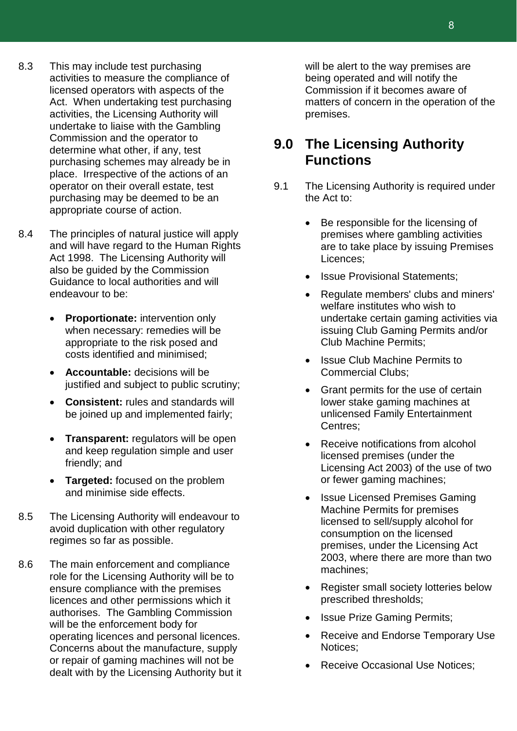- 8.3 This may include test purchasing activities to measure the compliance of licensed operators with aspects of the Act. When undertaking test purchasing activities, the Licensing Authority will undertake to liaise with the Gambling Commission and the operator to determine what other, if any, test purchasing schemes may already be in place. Irrespective of the actions of an operator on their overall estate, test purchasing may be deemed to be an appropriate course of action.
- 8.4 The principles of natural justice will apply and will have regard to the Human Rights Act 1998. The Licensing Authority will also be guided by the Commission Guidance to local authorities and will endeavour to be:
	- **Proportionate:** intervention only when necessary: remedies will be appropriate to the risk posed and costs identified and minimised;
	- **Accountable:** decisions will be justified and subject to public scrutiny;
	- **Consistent:** rules and standards will be joined up and implemented fairly;
	- **Transparent:** regulators will be open and keep regulation simple and user friendly; and
	- **Targeted:** focused on the problem and minimise side effects.
- 8.5 The Licensing Authority will endeavour to avoid duplication with other regulatory regimes so far as possible.
- 8.6 The main enforcement and compliance role for the Licensing Authority will be to ensure compliance with the premises licences and other permissions which it authorises. The Gambling Commission will be the enforcement body for operating licences and personal licences. Concerns about the manufacture, supply or repair of gaming machines will not be dealt with by the Licensing Authority but it

will be alert to the way premises are being operated and will notify the Commission if it becomes aware of matters of concern in the operation of the premises.

### **9.0 The Licensing Authority Functions**

- 9.1 The Licensing Authority is required under the Act to:
	- Be responsible for the licensing of premises where gambling activities are to take place by issuing Premises Licences;
	- Issue Provisional Statements:
	- Regulate members' clubs and miners' welfare institutes who wish to undertake certain gaming activities via issuing Club Gaming Permits and/or Club Machine Permits;
	- Issue Club Machine Permits to Commercial Clubs;
	- Grant permits for the use of certain lower stake gaming machines at unlicensed Family Entertainment Centres;
	- Receive notifications from alcohol licensed premises (under the Licensing Act 2003) of the use of two or fewer gaming machines;
	- **Issue Licensed Premises Gaming** Machine Permits for premises licensed to sell/supply alcohol for consumption on the licensed premises, under the Licensing Act 2003, where there are more than two machines;
	- Register small society lotteries below prescribed thresholds;
	- **Issue Prize Gaming Permits;**
	- Receive and Endorse Temporary Use Notices;
	- Receive Occasional Use Notices;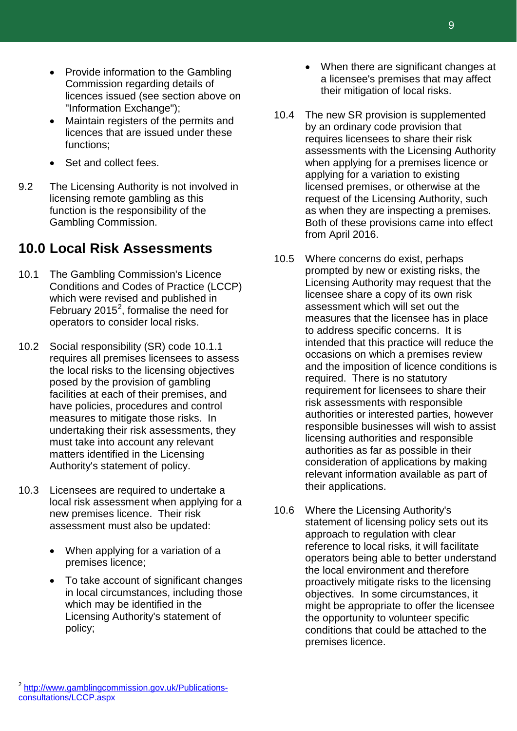- Provide information to the Gambling Commission regarding details of licences issued (see section above on "Information Exchange");
- Maintain registers of the permits and licences that are issued under these functions;
- Set and collect fees.
- 9.2 The Licensing Authority is not involved in licensing remote gambling as this function is the responsibility of the Gambling Commission.

### **10.0 Local Risk Assessments**

- 10.1 The Gambling Commission's Licence Conditions and Codes of Practice (LCCP) which were revised and published in February [2](#page-9-0)015<sup>2</sup>, formalise the need for operators to consider local risks.
- 10.2 Social responsibility (SR) code 10.1.1 requires all premises licensees to assess the local risks to the licensing objectives posed by the provision of gambling facilities at each of their premises, and have policies, procedures and control measures to mitigate those risks. In undertaking their risk assessments, they must take into account any relevant matters identified in the Licensing Authority's statement of policy.
- <span id="page-9-0"></span>10.3 Licensees are required to undertake a local risk assessment when applying for a new premises licence. Their risk assessment must also be updated:
	- When applying for a variation of a premises licence;
	- To take account of significant changes in local circumstances, including those which may be identified in the Licensing Authority's statement of policy;
- When there are significant changes at a licensee's premises that may affect their mitigation of local risks.
- 10.4 The new SR provision is supplemented by an ordinary code provision that requires licensees to share their risk assessments with the Licensing Authority when applying for a premises licence or applying for a variation to existing licensed premises, or otherwise at the request of the Licensing Authority, such as when they are inspecting a premises. Both of these provisions came into effect from April 2016.
- 10.5 Where concerns do exist, perhaps prompted by new or existing risks, the Licensing Authority may request that the licensee share a copy of its own risk assessment which will set out the measures that the licensee has in place to address specific concerns. It is intended that this practice will reduce the occasions on which a premises review and the imposition of licence conditions is required. There is no statutory requirement for licensees to share their risk assessments with responsible authorities or interested parties, however responsible businesses will wish to assist licensing authorities and responsible authorities as far as possible in their consideration of applications by making relevant information available as part of their applications.
- 10.6 Where the Licensing Authority's statement of licensing policy sets out its approach to regulation with clear reference to local risks, it will facilitate operators being able to better understand the local environment and therefore proactively mitigate risks to the licensing objectives. In some circumstances, it might be appropriate to offer the licensee the opportunity to volunteer specific conditions that could be attached to the premises licence.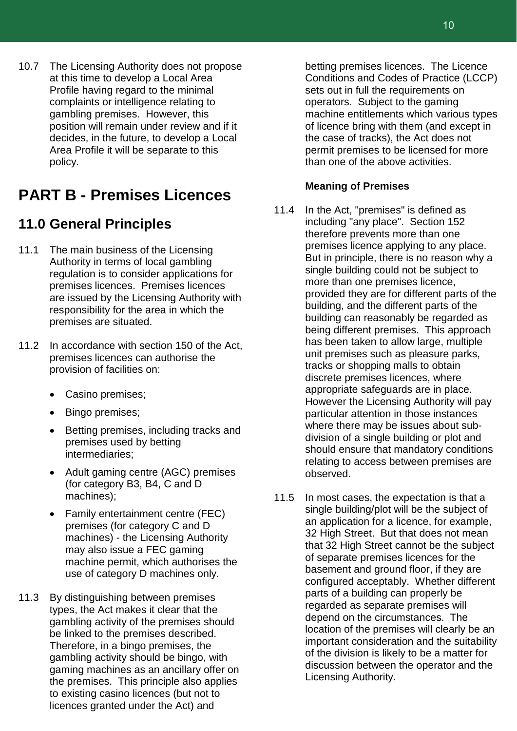10.7 The Licensing Authority does not propose at this time to develop a Local Area Profile having regard to the minimal complaints or intelligence relating to gambling premises. However, this position will remain under review and if it decides, in the future, to develop a Local Area Profile it will be separate to this policy.

### **PART B - Premises Licences**

### **11.0 General Principles**

- 11.1 The main business of the Licensing Authority in terms of local gambling regulation is to consider applications for premises licences. Premises licences are issued by the Licensing Authority with responsibility for the area in which the premises are situated.
- 11.2 In accordance with section 150 of the Act, premises licences can authorise the provision of facilities on:
	- Casino premises;
	- Bingo premises;
	- Betting premises, including tracks and premises used by betting intermediaries;
	- Adult gaming centre (AGC) premises (for category B3, B4, C and D machines);
	- Family entertainment centre (FEC) premises (for category C and D machines) - the Licensing Authority may also issue a FEC gaming machine permit, which authorises the use of category D machines only.
- 11.3 By distinguishing between premises types, the Act makes it clear that the gambling activity of the premises should be linked to the premises described. Therefore, in a bingo premises, the gambling activity should be bingo, with gaming machines as an ancillary offer on the premises. This principle also applies to existing casino licences (but not to licences granted under the Act) and

betting premises licences. The Licence Conditions and Codes of Practice (LCCP) sets out in full the requirements on operators. Subject to the gaming machine entitlements which various types of licence bring with them (and except in the case of tracks), the Act does not permit premises to be licensed for more than one of the above activities.

#### **Meaning of Premises**

- 11.4 In the Act, "premises" is defined as including "any place". Section 152 therefore prevents more than one premises licence applying to any place. But in principle, there is no reason why a single building could not be subject to more than one premises licence, provided they are for different parts of the building, and the different parts of the building can reasonably be regarded as being different premises. This approach has been taken to allow large, multiple unit premises such as pleasure parks, tracks or shopping malls to obtain discrete premises licences, where appropriate safeguards are in place. However the Licensing Authority will pay particular attention in those instances where there may be issues about subdivision of a single building or plot and should ensure that mandatory conditions relating to access between premises are observed.
- 11.5 In most cases, the expectation is that a single building/plot will be the subject of an application for a licence, for example, 32 High Street. But that does not mean that 32 High Street cannot be the subject of separate premises licences for the basement and ground floor, if they are configured acceptably. Whether different parts of a building can properly be regarded as separate premises will depend on the circumstances. The location of the premises will clearly be an important consideration and the suitability of the division is likely to be a matter for discussion between the operator and the Licensing Authority.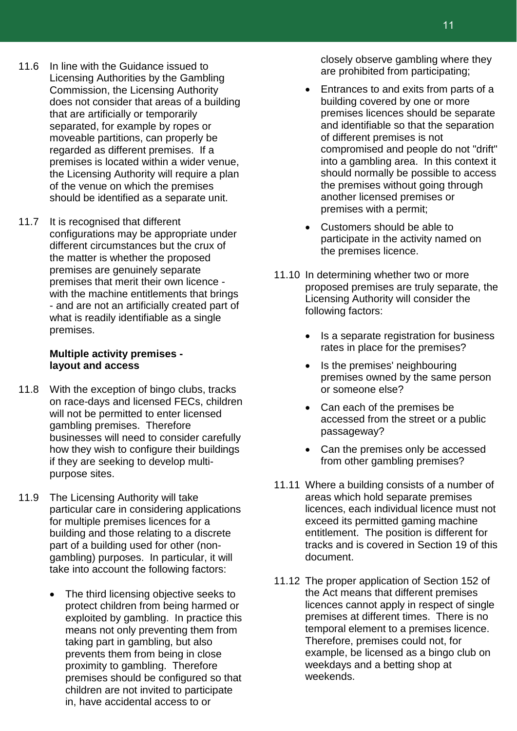- 11.6 In line with the Guidance issued to Licensing Authorities by the Gambling Commission, the Licensing Authority does not consider that areas of a building that are artificially or temporarily separated, for example by ropes or moveable partitions, can properly be regarded as different premises. If a premises is located within a wider venue, the Licensing Authority will require a plan of the venue on which the premises should be identified as a separate unit.
- 11.7 It is recognised that different configurations may be appropriate under different circumstances but the crux of the matter is whether the proposed premises are genuinely separate premises that merit their own licence with the machine entitlements that brings - and are not an artificially created part of what is readily identifiable as a single premises.

#### **Multiple activity premises layout and access**

- 11.8 With the exception of bingo clubs, tracks on race-days and licensed FECs, children will not be permitted to enter licensed gambling premises. Therefore businesses will need to consider carefully how they wish to configure their buildings if they are seeking to develop multipurpose sites.
- 11.9 The Licensing Authority will take particular care in considering applications for multiple premises licences for a building and those relating to a discrete part of a building used for other (nongambling) purposes. In particular, it will take into account the following factors:
	- The third licensing objective seeks to protect children from being harmed or exploited by gambling. In practice this means not only preventing them from taking part in gambling, but also prevents them from being in close proximity to gambling. Therefore premises should be configured so that children are not invited to participate in, have accidental access to or

closely observe gambling where they are prohibited from participating;

- Entrances to and exits from parts of a building covered by one or more premises licences should be separate and identifiable so that the separation of different premises is not compromised and people do not "drift" into a gambling area. In this context it should normally be possible to access the premises without going through another licensed premises or premises with a permit;
- Customers should be able to participate in the activity named on the premises licence.
- 11.10 In determining whether two or more proposed premises are truly separate, the Licensing Authority will consider the following factors:
	- Is a separate registration for business rates in place for the premises?
	- Is the premises' neighbouring premises owned by the same person or someone else?
	- Can each of the premises be accessed from the street or a public passageway?
	- Can the premises only be accessed from other gambling premises?
- 11.11 Where a building consists of a number of areas which hold separate premises licences, each individual licence must not exceed its permitted gaming machine entitlement. The position is different for tracks and is covered in Section 19 of this document.
- 11.12 The proper application of Section 152 of the Act means that different premises licences cannot apply in respect of single premises at different times. There is no temporal element to a premises licence. Therefore, premises could not, for example, be licensed as a bingo club on weekdays and a betting shop at weekends.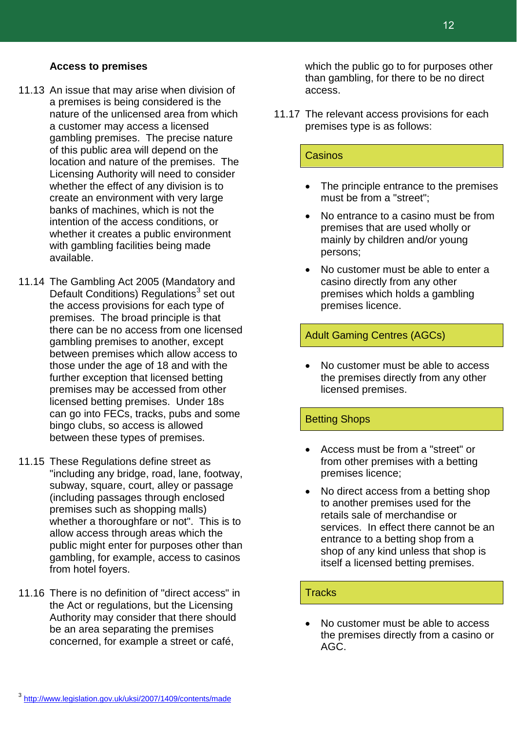#### <span id="page-12-0"></span><sup>3</sup> <http://www.legislation.gov.uk/uksi/2007/1409/contents/made>

#### **Access to premises**

- 11.13 An issue that may arise when division of a premises is being considered is the nature of the unlicensed area from which a customer may access a licensed gambling premises. The precise nature of this public area will depend on the location and nature of the premises. The Licensing Authority will need to consider whether the effect of any division is to create an environment with very large banks of machines, which is not the intention of the access conditions, or whether it creates a public environment with gambling facilities being made available.
- 11.14 The Gambling Act 2005 (Mandatory and Default Conditions) Regulations<sup>[3](#page-12-0)</sup> set out the access provisions for each type of premises. The broad principle is that there can be no access from one licensed gambling premises to another, except between premises which allow access to those under the age of 18 and with the further exception that licensed betting premises may be accessed from other licensed betting premises. Under 18s can go into FECs, tracks, pubs and some bingo clubs, so access is allowed between these types of premises.
- 11.15 These Regulations define street as "including any bridge, road, lane, footway, subway, square, court, alley or passage (including passages through enclosed premises such as shopping malls) whether a thoroughfare or not". This is to allow access through areas which the public might enter for purposes other than gambling, for example, access to casinos from hotel foyers.
- 11.16 There is no definition of "direct access" in the Act or regulations, but the Licensing Authority may consider that there should be an area separating the premises concerned, for example a street or café,

which the public go to for purposes other than gambling, for there to be no direct access.

11.17 The relevant access provisions for each premises type is as follows:

#### Casinos

- The principle entrance to the premises must be from a "street";
- No entrance to a casino must be from premises that are used wholly or mainly by children and/or young persons;
- No customer must be able to enter a casino directly from any other premises which holds a gambling premises licence.

#### Adult Gaming Centres (AGCs)

• No customer must be able to access the premises directly from any other licensed premises.

#### Betting Shops

- Access must be from a "street" or from other premises with a betting premises licence;
- No direct access from a betting shop to another premises used for the retails sale of merchandise or services. In effect there cannot be an entrance to a betting shop from a shop of any kind unless that shop is itself a licensed betting premises.

#### **Tracks**

• No customer must be able to access the premises directly from a casino or AGC.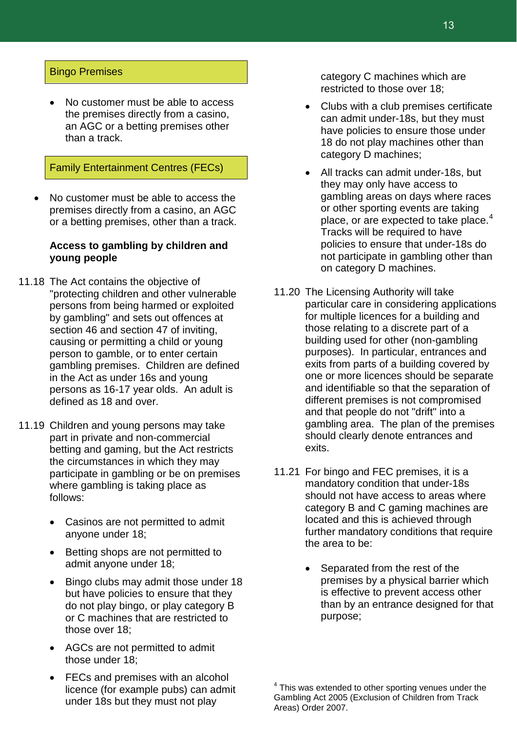#### Bingo Premises

• No customer must be able to access the premises directly from a casino, an AGC or a betting premises other than a track.

#### Family Entertainment Centres (FECs)

• No customer must be able to access the premises directly from a casino, an AGC or a betting premises, other than a track.

#### **Access to gambling by children and young people**

- 11.18 The Act contains the objective of "protecting children and other vulnerable persons from being harmed or exploited by gambling" and sets out offences at section 46 and section 47 of inviting, causing or permitting a child or young person to gamble, or to enter certain gambling premises. Children are defined in the Act as under 16s and young persons as 16-17 year olds. An adult is defined as 18 and over.
- <span id="page-13-0"></span>11.19 Children and young persons may take part in private and non-commercial betting and gaming, but the Act restricts the circumstances in which they may participate in gambling or be on premises where gambling is taking place as follows:
	- Casinos are not permitted to admit anyone under 18;
	- Betting shops are not permitted to admit anyone under 18;
	- Bingo clubs may admit those under 18 but have policies to ensure that they do not play bingo, or play category B or C machines that are restricted to those over 18;
	- AGCs are not permitted to admit those under 18;
	- FECs and premises with an alcohol licence (for example pubs) can admit under 18s but they must not play

category C machines which are restricted to those over 18;

- Clubs with a club premises certificate can admit under-18s, but they must have policies to ensure those under 18 do not play machines other than category D machines;
- All tracks can admit under-18s, but they may only have access to gambling areas on days where races or other sporting events are taking place, or are expected to take place. $4$ Tracks will be required to have policies to ensure that under-18s do not participate in gambling other than on category D machines.
- 11.20 The Licensing Authority will take particular care in considering applications for multiple licences for a building and those relating to a discrete part of a building used for other (non-gambling purposes). In particular, entrances and exits from parts of a building covered by one or more licences should be separate and identifiable so that the separation of different premises is not compromised and that people do not "drift" into a gambling area. The plan of the premises should clearly denote entrances and exits.
- 11.21 For bingo and FEC premises, it is a mandatory condition that under-18s should not have access to areas where category B and C gaming machines are located and this is achieved through further mandatory conditions that require the area to be:
	- Separated from the rest of the premises by a physical barrier which is effective to prevent access other than by an entrance designed for that purpose;

 $4$  This was extended to other sporting venues under the Gambling Act 2005 (Exclusion of Children from Track Areas) Order 2007.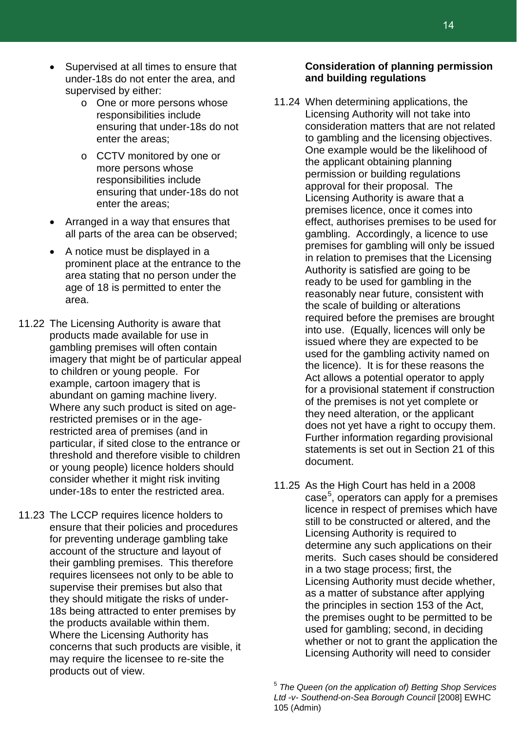- Supervised at all times to ensure that under-18s do not enter the area, and supervised by either:
	- o One or more persons whose responsibilities include ensuring that under-18s do not enter the areas;
	- o CCTV monitored by one or more persons whose responsibilities include ensuring that under-18s do not enter the areas;
- Arranged in a way that ensures that all parts of the area can be observed;
- A notice must be displayed in a prominent place at the entrance to the area stating that no person under the age of 18 is permitted to enter the area.
- 11.22 The Licensing Authority is aware that products made available for use in gambling premises will often contain imagery that might be of particular appeal to children or young people. For example, cartoon imagery that is abundant on gaming machine livery. Where any such product is sited on agerestricted premises or in the agerestricted area of premises (and in particular, if sited close to the entrance or threshold and therefore visible to children or young people) licence holders should consider whether it might risk inviting under-18s to enter the restricted area.
- <span id="page-14-0"></span>11.23 The LCCP requires licence holders to ensure that their policies and procedures for preventing underage gambling take account of the structure and layout of their gambling premises. This therefore requires licensees not only to be able to supervise their premises but also that they should mitigate the risks of under-18s being attracted to enter premises by the products available within them. Where the Licensing Authority has concerns that such products are visible, it may require the licensee to re-site the products out of view.

#### **Consideration of planning permission and building regulations**

- 11.24 When determining applications, the Licensing Authority will not take into consideration matters that are not related to gambling and the licensing objectives. One example would be the likelihood of the applicant obtaining planning permission or building regulations approval for their proposal. The Licensing Authority is aware that a premises licence, once it comes into effect, authorises premises to be used for gambling. Accordingly, a licence to use premises for gambling will only be issued in relation to premises that the Licensing Authority is satisfied are going to be ready to be used for gambling in the reasonably near future, consistent with the scale of building or alterations required before the premises are brought into use. (Equally, licences will only be issued where they are expected to be used for the gambling activity named on the licence). It is for these reasons the Act allows a potential operator to apply for a provisional statement if construction of the premises is not yet complete or they need alteration, or the applicant does not yet have a right to occupy them. Further information regarding provisional statements is set out in Section 21 of this document.
- 11.25 As the High Court has held in a 2008 case<sup>[5](#page-14-0)</sup>, operators can apply for a premises licence in respect of premises which have still to be constructed or altered, and the Licensing Authority is required to determine any such applications on their merits. Such cases should be considered in a two stage process; first, the Licensing Authority must decide whether, as a matter of substance after applying the principles in section 153 of the Act, the premises ought to be permitted to be used for gambling; second, in deciding whether or not to grant the application the Licensing Authority will need to consider

<sup>5</sup> *The Queen (on the application of) Betting Shop Services Ltd -v- Southend-on-Sea Borough Council* [2008] EWHC 105 (Admin)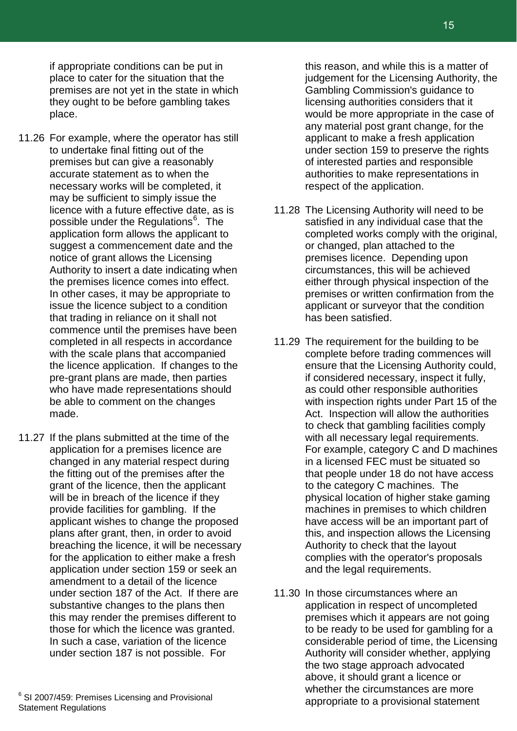if appropriate conditions can be put in place to cater for the situation that the premises are not yet in the state in which they ought to be before gambling takes place.

- 11.26 For example, where the operator has still to undertake final fitting out of the premises but can give a reasonably accurate statement as to when the necessary works will be completed, it may be sufficient to simply issue the licence with a future effective date, as is possible under the Regulations<sup>[6](#page-15-0)</sup>. The application form allows the applicant to suggest a commencement date and the notice of grant allows the Licensing Authority to insert a date indicating when the premises licence comes into effect. In other cases, it may be appropriate to issue the licence subject to a condition that trading in reliance on it shall not commence until the premises have been completed in all respects in accordance with the scale plans that accompanied the licence application. If changes to the pre-grant plans are made, then parties who have made representations should be able to comment on the changes made.
- 11.27 If the plans submitted at the time of the application for a premises licence are changed in any material respect during the fitting out of the premises after the grant of the licence, then the applicant will be in breach of the licence if they provide facilities for gambling. If the applicant wishes to change the proposed plans after grant, then, in order to avoid breaching the licence, it will be necessary for the application to either make a fresh application under section 159 or seek an amendment to a detail of the licence under section 187 of the Act. If there are substantive changes to the plans then this may render the premises different to those for which the licence was granted. In such a case, variation of the licence under section 187 is not possible. For

<span id="page-15-0"></span> $6$  SI 2007/459: Premises Licensing and Provisional Statement Regulations

this reason, and while this is a matter of judgement for the Licensing Authority, the Gambling Commission's guidance to licensing authorities considers that it would be more appropriate in the case of any material post grant change, for the applicant to make a fresh application under section 159 to preserve the rights of interested parties and responsible authorities to make representations in respect of the application.

- 11.28 The Licensing Authority will need to be satisfied in any individual case that the completed works comply with the original, or changed, plan attached to the premises licence. Depending upon circumstances, this will be achieved either through physical inspection of the premises or written confirmation from the applicant or surveyor that the condition has been satisfied.
- 11.29 The requirement for the building to be complete before trading commences will ensure that the Licensing Authority could, if considered necessary, inspect it fully, as could other responsible authorities with inspection rights under Part 15 of the Act. Inspection will allow the authorities to check that gambling facilities comply with all necessary legal requirements. For example, category C and D machines in a licensed FEC must be situated so that people under 18 do not have access to the category C machines. The physical location of higher stake gaming machines in premises to which children have access will be an important part of this, and inspection allows the Licensing Authority to check that the layout complies with the operator's proposals and the legal requirements.
- 11.30 In those circumstances where an application in respect of uncompleted premises which it appears are not going to be ready to be used for gambling for a considerable period of time, the Licensing Authority will consider whether, applying the two stage approach advocated above, it should grant a licence or whether the circumstances are more appropriate to a provisional statement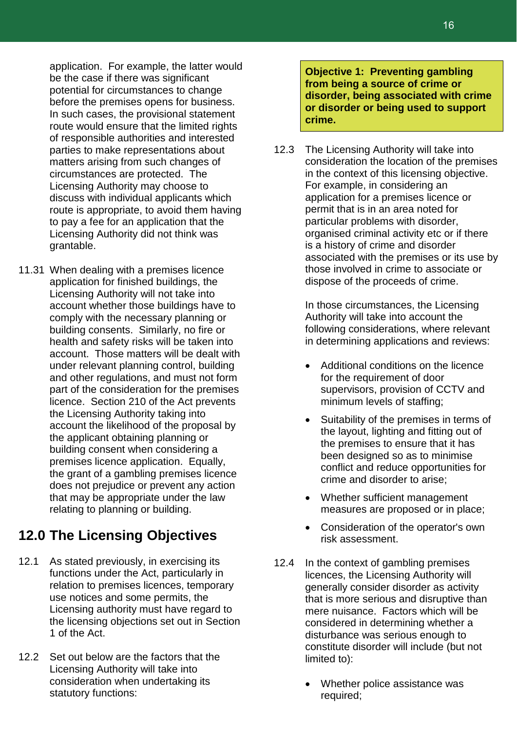application. For example, the latter would be the case if there was significant potential for circumstances to change before the premises opens for business. In such cases, the provisional statement route would ensure that the limited rights of responsible authorities and interested parties to make representations about matters arising from such changes of circumstances are protected. The Licensing Authority may choose to discuss with individual applicants which route is appropriate, to avoid them having to pay a fee for an application that the Licensing Authority did not think was grantable.

11.31 When dealing with a premises licence application for finished buildings, the Licensing Authority will not take into account whether those buildings have to comply with the necessary planning or building consents. Similarly, no fire or health and safety risks will be taken into account. Those matters will be dealt with under relevant planning control, building and other regulations, and must not form part of the consideration for the premises licence. Section 210 of the Act prevents the Licensing Authority taking into account the likelihood of the proposal by the applicant obtaining planning or building consent when considering a premises licence application. Equally, the grant of a gambling premises licence does not prejudice or prevent any action that may be appropriate under the law relating to planning or building.

### **12.0 The Licensing Objectives**

- 12.1 As stated previously, in exercising its functions under the Act, particularly in relation to premises licences, temporary use notices and some permits, the Licensing authority must have regard to the licensing objections set out in Section 1 of the Act.
- 12.2 Set out below are the factors that the Licensing Authority will take into consideration when undertaking its statutory functions:

**Objective 1: Preventing gambling from being a source of crime or disorder, being associated with crime or disorder or being used to support crime.**

12.3 The Licensing Authority will take into consideration the location of the premises in the context of this licensing objective. For example, in considering an application for a premises licence or permit that is in an area noted for particular problems with disorder, organised criminal activity etc or if there is a history of crime and disorder associated with the premises or its use by those involved in crime to associate or dispose of the proceeds of crime.

> In those circumstances, the Licensing Authority will take into account the following considerations, where relevant in determining applications and reviews:

- Additional conditions on the licence for the requirement of door supervisors, provision of CCTV and minimum levels of staffing;
- Suitability of the premises in terms of the layout, lighting and fitting out of the premises to ensure that it has been designed so as to minimise conflict and reduce opportunities for crime and disorder to arise;
- Whether sufficient management measures are proposed or in place;
- Consideration of the operator's own risk assessment.
- 12.4 In the context of gambling premises licences, the Licensing Authority will generally consider disorder as activity that is more serious and disruptive than mere nuisance. Factors which will be considered in determining whether a disturbance was serious enough to constitute disorder will include (but not limited to):
	- Whether police assistance was required;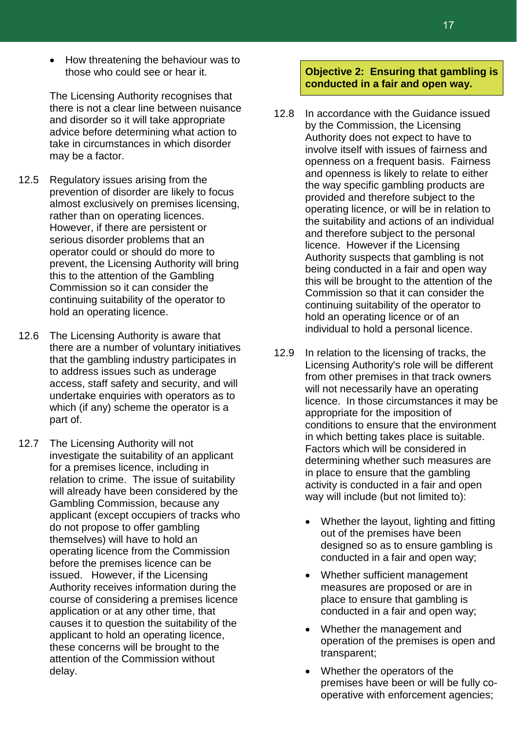• How threatening the behaviour was to those who could see or hear it.

The Licensing Authority recognises that there is not a clear line between nuisance and disorder so it will take appropriate advice before determining what action to take in circumstances in which disorder may be a factor.

- 12.5 Regulatory issues arising from the prevention of disorder are likely to focus almost exclusively on premises licensing, rather than on operating licences. However, if there are persistent or serious disorder problems that an operator could or should do more to prevent, the Licensing Authority will bring this to the attention of the Gambling Commission so it can consider the continuing suitability of the operator to hold an operating licence.
- 12.6 The Licensing Authority is aware that there are a number of voluntary initiatives that the gambling industry participates in to address issues such as underage access, staff safety and security, and will undertake enquiries with operators as to which (if any) scheme the operator is a part of.
- 12.7 The Licensing Authority will not investigate the suitability of an applicant for a premises licence, including in relation to crime. The issue of suitability will already have been considered by the Gambling Commission, because any applicant (except occupiers of tracks who do not propose to offer gambling themselves) will have to hold an operating licence from the Commission before the premises licence can be issued. However, if the Licensing Authority receives information during the course of considering a premises licence application or at any other time, that causes it to question the suitability of the applicant to hold an operating licence, these concerns will be brought to the attention of the Commission without delay.

#### **Objective 2: Ensuring that gambling is conducted in a fair and open way.**

- 12.8 In accordance with the Guidance issued by the Commission, the Licensing Authority does not expect to have to involve itself with issues of fairness and openness on a frequent basis. Fairness and openness is likely to relate to either the way specific gambling products are provided and therefore subject to the operating licence, or will be in relation to the suitability and actions of an individual and therefore subject to the personal licence. However if the Licensing Authority suspects that gambling is not being conducted in a fair and open way this will be brought to the attention of the Commission so that it can consider the continuing suitability of the operator to hold an operating licence or of an individual to hold a personal licence.
- 12.9 In relation to the licensing of tracks, the Licensing Authority's role will be different from other premises in that track owners will not necessarily have an operating licence. In those circumstances it may be appropriate for the imposition of conditions to ensure that the environment in which betting takes place is suitable. Factors which will be considered in determining whether such measures are in place to ensure that the gambling activity is conducted in a fair and open way will include (but not limited to):
	- Whether the layout, lighting and fitting out of the premises have been designed so as to ensure gambling is conducted in a fair and open way;
	- Whether sufficient management measures are proposed or are in place to ensure that gambling is conducted in a fair and open way;
	- Whether the management and operation of the premises is open and transparent;
	- Whether the operators of the premises have been or will be fully cooperative with enforcement agencies;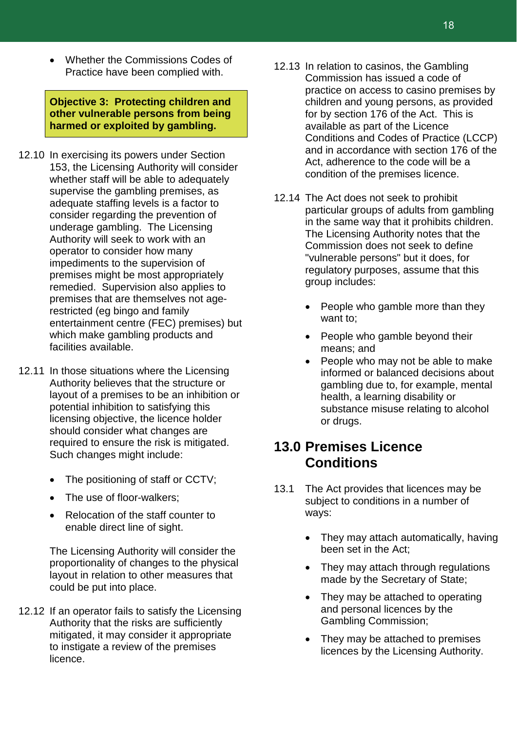• Whether the Commissions Codes of Practice have been complied with.

**Objective 3: Protecting children and other vulnerable persons from being harmed or exploited by gambling.**

- 12.10 In exercising its powers under Section 153, the Licensing Authority will consider whether staff will be able to adequately supervise the gambling premises, as adequate staffing levels is a factor to consider regarding the prevention of underage gambling. The Licensing Authority will seek to work with an operator to consider how many impediments to the supervision of premises might be most appropriately remedied. Supervision also applies to premises that are themselves not agerestricted (eg bingo and family entertainment centre (FEC) premises) but which make gambling products and facilities available.
- 12.11 In those situations where the Licensing Authority believes that the structure or layout of a premises to be an inhibition or potential inhibition to satisfying this licensing objective, the licence holder should consider what changes are required to ensure the risk is mitigated. Such changes might include:
	- The positioning of staff or CCTV;
	- The use of floor-walkers;
	- Relocation of the staff counter to enable direct line of sight.

The Licensing Authority will consider the proportionality of changes to the physical layout in relation to other measures that could be put into place.

12.12 If an operator fails to satisfy the Licensing Authority that the risks are sufficiently mitigated, it may consider it appropriate to instigate a review of the premises licence.

- 12.13 In relation to casinos, the Gambling Commission has issued a code of practice on access to casino premises by children and young persons, as provided for by section 176 of the Act. This is available as part of the Licence Conditions and Codes of Practice (LCCP) and in accordance with section 176 of the Act, adherence to the code will be a condition of the premises licence.
- 12.14 The Act does not seek to prohibit particular groups of adults from gambling in the same way that it prohibits children. The Licensing Authority notes that the Commission does not seek to define "vulnerable persons" but it does, for regulatory purposes, assume that this group includes:
	- People who gamble more than they want to;
	- People who gamble beyond their means; and
	- People who may not be able to make informed or balanced decisions about gambling due to, for example, mental health, a learning disability or substance misuse relating to alcohol or drugs.

### **13.0 Premises Licence Conditions**

- 13.1 The Act provides that licences may be subject to conditions in a number of ways:
	- They may attach automatically, having been set in the Act;
	- They may attach through regulations made by the Secretary of State;
	- They may be attached to operating and personal licences by the Gambling Commission;
	- They may be attached to premises licences by the Licensing Authority.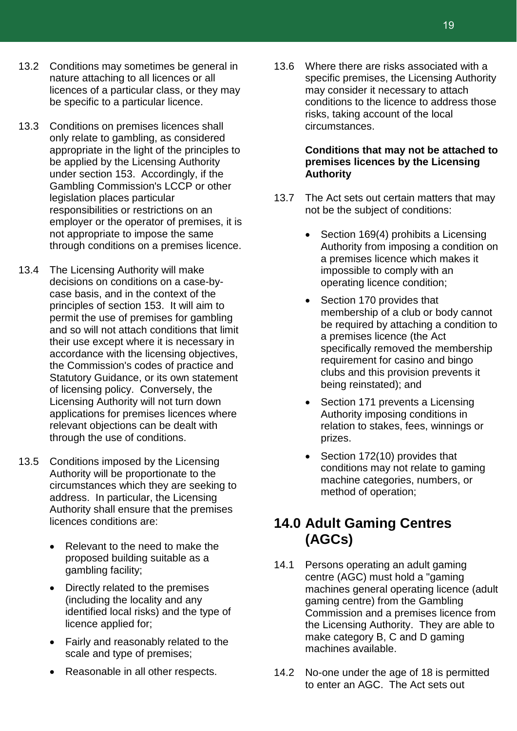- 13.2 Conditions may sometimes be general in nature attaching to all licences or all licences of a particular class, or they may be specific to a particular licence.
- 13.3 Conditions on premises licences shall only relate to gambling, as considered appropriate in the light of the principles to be applied by the Licensing Authority under section 153. Accordingly, if the Gambling Commission's LCCP or other legislation places particular responsibilities or restrictions on an employer or the operator of premises, it is not appropriate to impose the same through conditions on a premises licence.
- 13.4 The Licensing Authority will make decisions on conditions on a case-bycase basis, and in the context of the principles of section 153. It will aim to permit the use of premises for gambling and so will not attach conditions that limit their use except where it is necessary in accordance with the licensing objectives, the Commission's codes of practice and Statutory Guidance, or its own statement of licensing policy. Conversely, the Licensing Authority will not turn down applications for premises licences where relevant objections can be dealt with through the use of conditions.
- 13.5 Conditions imposed by the Licensing Authority will be proportionate to the circumstances which they are seeking to address. In particular, the Licensing Authority shall ensure that the premises licences conditions are:
	- Relevant to the need to make the proposed building suitable as a gambling facility;
	- Directly related to the premises (including the locality and any identified local risks) and the type of licence applied for;
	- Fairly and reasonably related to the scale and type of premises;
	- Reasonable in all other respects.

13.6 Where there are risks associated with a specific premises, the Licensing Authority may consider it necessary to attach conditions to the licence to address those risks, taking account of the local circumstances.

#### **Conditions that may not be attached to premises licences by the Licensing Authority**

- 13.7 The Act sets out certain matters that may not be the subject of conditions:
	- Section 169(4) prohibits a Licensing Authority from imposing a condition on a premises licence which makes it impossible to comply with an operating licence condition;
	- Section 170 provides that membership of a club or body cannot be required by attaching a condition to a premises licence (the Act specifically removed the membership requirement for casino and bingo clubs and this provision prevents it being reinstated); and
	- Section 171 prevents a Licensing Authority imposing conditions in relation to stakes, fees, winnings or prizes.
	- Section 172(10) provides that conditions may not relate to gaming machine categories, numbers, or method of operation;

### **14.0 Adult Gaming Centres (AGCs)**

- 14.1 Persons operating an adult gaming centre (AGC) must hold a "gaming machines general operating licence (adult gaming centre) from the Gambling Commission and a premises licence from the Licensing Authority. They are able to make category B, C and D gaming machines available.
- 14.2 No-one under the age of 18 is permitted to enter an AGC. The Act sets out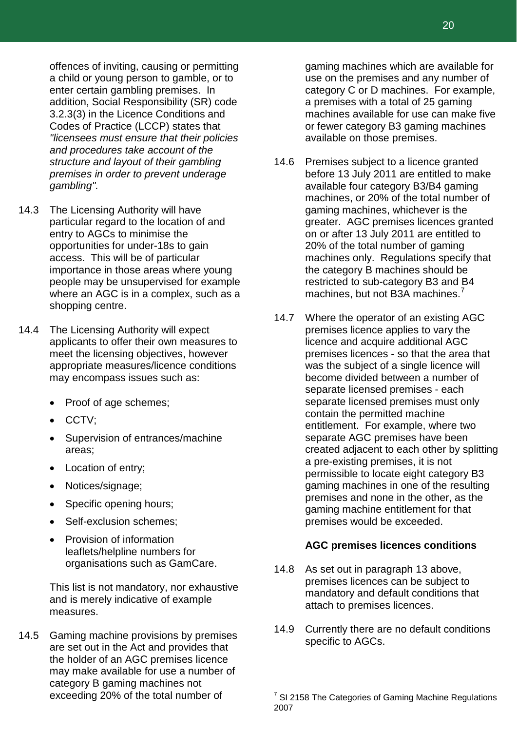offences of inviting, causing or permitting a child or young person to gamble, or to enter certain gambling premises. In addition, Social Responsibility (SR) code 3.2.3(3) in the Licence Conditions and Codes of Practice (LCCP) states that *"licensees must ensure that their policies and procedures take account of the structure and layout of their gambling premises in order to prevent underage gambling".*

- 14.3 The Licensing Authority will have particular regard to the location of and entry to AGCs to minimise the opportunities for under-18s to gain access. This will be of particular importance in those areas where young people may be unsupervised for example where an AGC is in a complex, such as a shopping centre.
- 14.4 The Licensing Authority will expect applicants to offer their own measures to meet the licensing objectives, however appropriate measures/licence conditions may encompass issues such as:
	- Proof of age schemes;
	- CCTV;
	- Supervision of entrances/machine areas;
	- Location of entry;
	- Notices/signage;
	- Specific opening hours;
	- Self-exclusion schemes;
	- Provision of information leaflets/helpline numbers for organisations such as GamCare.

This list is not mandatory, nor exhaustive and is merely indicative of example measures.

<span id="page-20-0"></span>14.5 Gaming machine provisions by premises are set out in the Act and provides that the holder of an AGC premises licence may make available for use a number of category B gaming machines not exceeding 20% of the total number of

gaming machines which are available for use on the premises and any number of category C or D machines. For example, a premises with a total of 25 gaming machines available for use can make five or fewer category B3 gaming machines available on those premises.

- 14.6 Premises subject to a licence granted before 13 July 2011 are entitled to make available four category B3/B4 gaming machines, or 20% of the total number of gaming machines, whichever is the greater. AGC premises licences granted on or after 13 July 2011 are entitled to 20% of the total number of gaming machines only. Regulations specify that the category B machines should be restricted to sub-category B3 and B4 machines, but not B3A machines.<sup>[7](#page-20-0)</sup>
- 14.7 Where the operator of an existing AGC premises licence applies to vary the licence and acquire additional AGC premises licences - so that the area that was the subject of a single licence will become divided between a number of separate licensed premises - each separate licensed premises must only contain the permitted machine entitlement. For example, where two separate AGC premises have been created adjacent to each other by splitting a pre-existing premises, it is not permissible to locate eight category B3 gaming machines in one of the resulting premises and none in the other, as the gaming machine entitlement for that premises would be exceeded.

#### **AGC premises licences conditions**

- 14.8 As set out in paragraph 13 above, premises licences can be subject to mandatory and default conditions that attach to premises licences.
- 14.9 Currently there are no default conditions specific to AGCs.

 $7$  SI 2158 The Categories of Gaming Machine Regulations 2007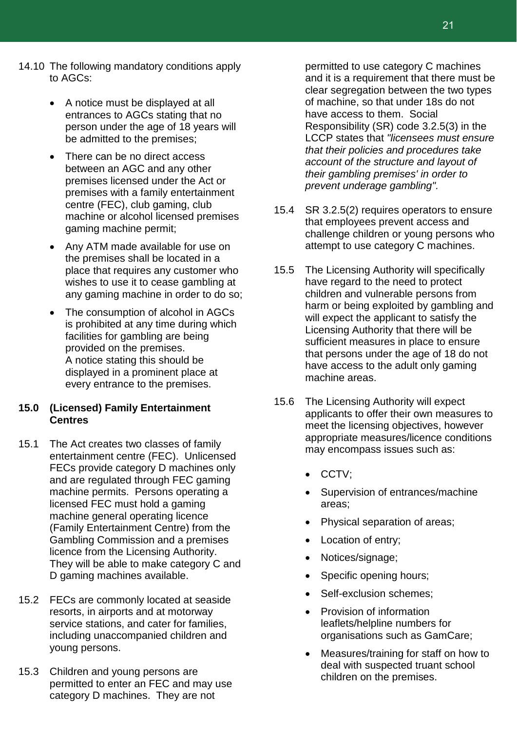- 14.10 The following mandatory conditions apply to AGCs:
	- A notice must be displayed at all entrances to AGCs stating that no person under the age of 18 years will be admitted to the premises;
	- There can be no direct access between an AGC and any other premises licensed under the Act or premises with a family entertainment centre (FEC), club gaming, club machine or alcohol licensed premises gaming machine permit;
	- Any ATM made available for use on the premises shall be located in a place that requires any customer who wishes to use it to cease gambling at any gaming machine in order to do so;
	- The consumption of alcohol in AGCs is prohibited at any time during which facilities for gambling are being provided on the premises. A notice stating this should be displayed in a prominent place at every entrance to the premises.

#### **15.0 (Licensed) Family Entertainment Centres**

- 15.1 The Act creates two classes of family entertainment centre (FEC). Unlicensed FECs provide category D machines only and are regulated through FEC gaming machine permits. Persons operating a licensed FEC must hold a gaming machine general operating licence (Family Entertainment Centre) from the Gambling Commission and a premises licence from the Licensing Authority. They will be able to make category C and D gaming machines available.
- 15.2 FECs are commonly located at seaside resorts, in airports and at motorway service stations, and cater for families, including unaccompanied children and young persons.
- 15.3 Children and young persons are permitted to enter an FEC and may use category D machines. They are not

permitted to use category C machines and it is a requirement that there must be clear segregation between the two types of machine, so that under 18s do not have access to them. Social Responsibility (SR) code 3.2.5(3) in the LCCP states that *"licensees must ensure that their policies and procedures take account of the structure and layout of their gambling premises' in order to prevent underage gambling".*

- 15.4 SR 3.2.5(2) requires operators to ensure that employees prevent access and challenge children or young persons who attempt to use category C machines.
- 15.5 The Licensing Authority will specifically have regard to the need to protect children and vulnerable persons from harm or being exploited by gambling and will expect the applicant to satisfy the Licensing Authority that there will be sufficient measures in place to ensure that persons under the age of 18 do not have access to the adult only gaming machine areas.
- 15.6 The Licensing Authority will expect applicants to offer their own measures to meet the licensing objectives, however appropriate measures/licence conditions may encompass issues such as:
	- CCTV;
	- Supervision of entrances/machine areas;
	- Physical separation of areas;
	- Location of entry;
	- Notices/signage;
	- Specific opening hours;
	- Self-exclusion schemes;
	- Provision of information leaflets/helpline numbers for organisations such as GamCare;
	- Measures/training for staff on how to deal with suspected truant school children on the premises.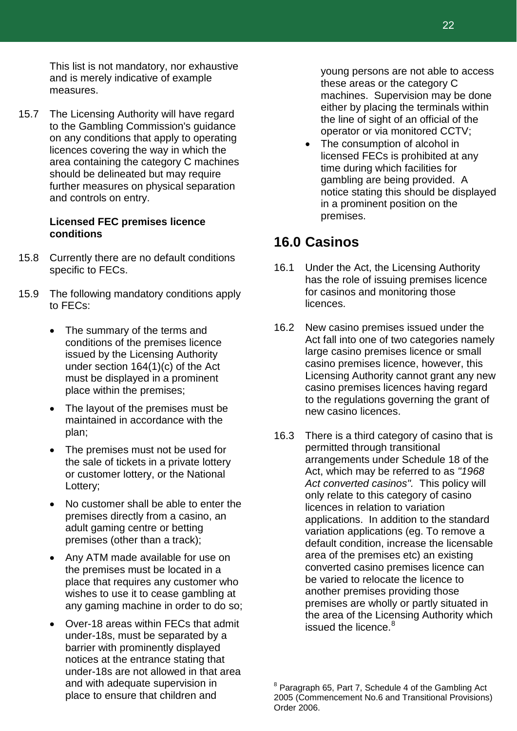This list is not mandatory, nor exhaustive and is merely indicative of example measures.

15.7 The Licensing Authority will have regard to the Gambling Commission's guidance on any conditions that apply to operating licences covering the way in which the area containing the category C machines should be delineated but may require further measures on physical separation and controls on entry.

#### **Licensed FEC premises licence conditions**

- 15.8 Currently there are no default conditions specific to FECs.
- 15.9 The following mandatory conditions apply to FECs:
	- The summary of the terms and conditions of the premises licence issued by the Licensing Authority under section 164(1)(c) of the Act must be displayed in a prominent place within the premises;
	- The layout of the premises must be maintained in accordance with the plan;
	- The premises must not be used for the sale of tickets in a private lottery or customer lottery, or the National Lottery;
	- No customer shall be able to enter the premises directly from a casino, an adult gaming centre or betting premises (other than a track);
	- Any ATM made available for use on the premises must be located in a place that requires any customer who wishes to use it to cease gambling at any gaming machine in order to do so;
	- Over-18 areas within FECs that admit under-18s, must be separated by a barrier with prominently displayed notices at the entrance stating that under-18s are not allowed in that area and with adequate supervision in place to ensure that children and

young persons are not able to access these areas or the category C machines. Supervision may be done either by placing the terminals within the line of sight of an official of the operator or via monitored CCTV;

The consumption of alcohol in licensed FECs is prohibited at any time during which facilities for gambling are being provided. A notice stating this should be displayed in a prominent position on the premises.

### **16.0 Casinos**

- 16.1 Under the Act, the Licensing Authority has the role of issuing premises licence for casinos and monitoring those licences.
- 16.2 New casino premises issued under the Act fall into one of two categories namely large casino premises licence or small casino premises licence, however, this Licensing Authority cannot grant any new casino premises licences having regard to the regulations governing the grant of new casino licences.
- 16.3 There is a third category of casino that is permitted through transitional arrangements under Schedule 18 of the Act, which may be referred to as *"1968 Act converted casinos".* This policy will only relate to this category of casino licences in relation to variation applications. In addition to the standard variation applications (eg. To remove a default condition, increase the licensable area of the premises etc) an existing converted casino premises licence can be varied to relocate the licence to another premises providing those premises are wholly or partly situated in the area of the Licensing Authority which issued the licence.<sup>[8](#page-22-0)</sup>

<span id="page-22-0"></span> $8$  Paragraph 65, Part 7, Schedule 4 of the Gambling Act 2005 (Commencement No.6 and Transitional Provisions) Order 2006.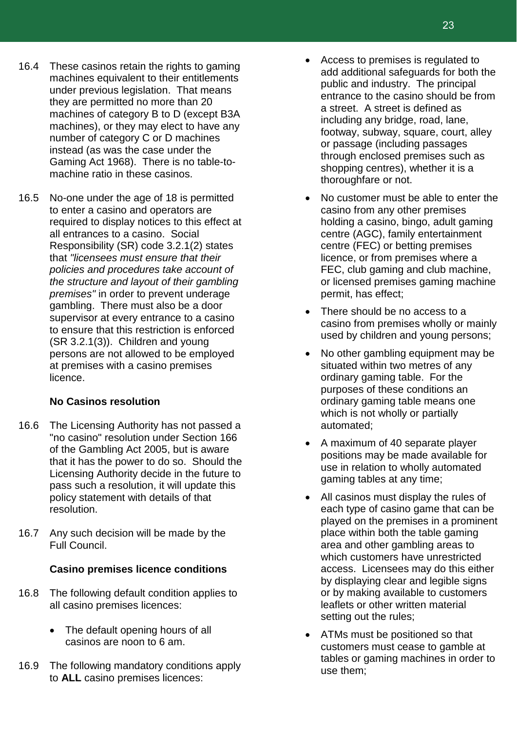- 16.4 These casinos retain the rights to gaming machines equivalent to their entitlements under previous legislation. That means they are permitted no more than 20 machines of category B to D (except B3A machines), or they may elect to have any number of category C or D machines instead (as was the case under the Gaming Act 1968). There is no table-tomachine ratio in these casinos.
- 16.5 No-one under the age of 18 is permitted to enter a casino and operators are required to display notices to this effect at all entrances to a casino. Social Responsibility (SR) code 3.2.1(2) states that *"licensees must ensure that their policies and procedures take account of the structure and layout of their gambling premises"* in order to prevent underage gambling. There must also be a door supervisor at every entrance to a casino to ensure that this restriction is enforced (SR 3.2.1(3)). Children and young persons are not allowed to be employed at premises with a casino premises licence.

#### **No Casinos resolution**

- 16.6 The Licensing Authority has not passed a "no casino" resolution under Section 166 of the Gambling Act 2005, but is aware that it has the power to do so. Should the Licensing Authority decide in the future to pass such a resolution, it will update this policy statement with details of that resolution.
- 16.7 Any such decision will be made by the Full Council.

### **Casino premises licence conditions**

- 16.8 The following default condition applies to all casino premises licences:
	- The default opening hours of all casinos are noon to 6 am.
- 16.9 The following mandatory conditions apply to **ALL** casino premises licences:
- Access to premises is regulated to add additional safeguards for both the public and industry. The principal entrance to the casino should be from a street. A street is defined as including any bridge, road, lane, footway, subway, square, court, alley or passage (including passages through enclosed premises such as shopping centres), whether it is a thoroughfare or not.
- No customer must be able to enter the casino from any other premises holding a casino, bingo, adult gaming centre (AGC), family entertainment centre (FEC) or betting premises licence, or from premises where a FEC, club gaming and club machine, or licensed premises gaming machine permit, has effect;
- There should be no access to a casino from premises wholly or mainly used by children and young persons;
- No other gambling equipment may be situated within two metres of any ordinary gaming table. For the purposes of these conditions an ordinary gaming table means one which is not wholly or partially automated;
- A maximum of 40 separate player positions may be made available for use in relation to wholly automated gaming tables at any time;
- All casinos must display the rules of each type of casino game that can be played on the premises in a prominent place within both the table gaming area and other gambling areas to which customers have unrestricted access. Licensees may do this either by displaying clear and legible signs or by making available to customers leaflets or other written material setting out the rules;
- ATMs must be positioned so that customers must cease to gamble at tables or gaming machines in order to use them;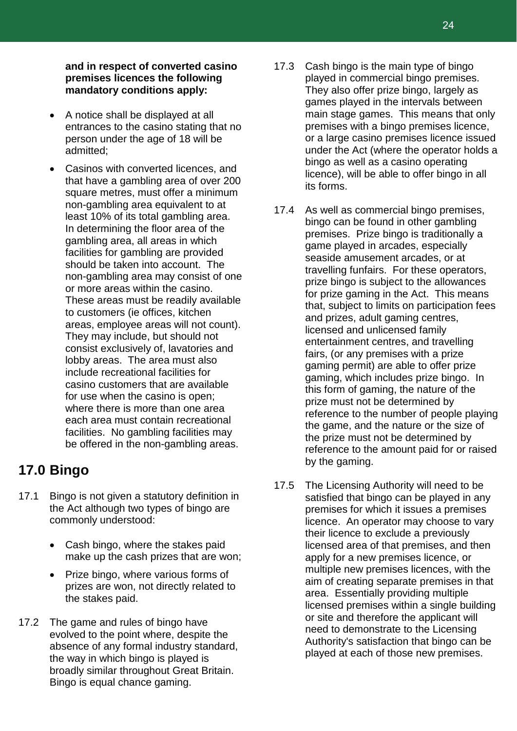**and in respect of converted casino premises licences the following mandatory conditions apply:**

- A notice shall be displayed at all entrances to the casino stating that no person under the age of 18 will be admitted;
- Casinos with converted licences, and that have a gambling area of over 200 square metres, must offer a minimum non-gambling area equivalent to at least 10% of its total gambling area. In determining the floor area of the gambling area, all areas in which facilities for gambling are provided should be taken into account. The non-gambling area may consist of one or more areas within the casino. These areas must be readily available to customers (ie offices, kitchen areas, employee areas will not count). They may include, but should not consist exclusively of, lavatories and lobby areas. The area must also include recreational facilities for casino customers that are available for use when the casino is open; where there is more than one area each area must contain recreational facilities. No gambling facilities may be offered in the non-gambling areas.

### **17.0 Bingo**

- 17.1 Bingo is not given a statutory definition in the Act although two types of bingo are commonly understood:
	- Cash bingo, where the stakes paid make up the cash prizes that are won;
	- Prize bingo, where various forms of prizes are won, not directly related to the stakes paid.
- 17.2 The game and rules of bingo have evolved to the point where, despite the absence of any formal industry standard, the way in which bingo is played is broadly similar throughout Great Britain. Bingo is equal chance gaming.
- 17.3 Cash bingo is the main type of bingo played in commercial bingo premises. They also offer prize bingo, largely as games played in the intervals between main stage games. This means that only premises with a bingo premises licence, or a large casino premises licence issued under the Act (where the operator holds a bingo as well as a casino operating licence), will be able to offer bingo in all its forms.
- 17.4 As well as commercial bingo premises, bingo can be found in other gambling premises. Prize bingo is traditionally a game played in arcades, especially seaside amusement arcades, or at travelling funfairs. For these operators, prize bingo is subject to the allowances for prize gaming in the Act. This means that, subject to limits on participation fees and prizes, adult gaming centres, licensed and unlicensed family entertainment centres, and travelling fairs, (or any premises with a prize gaming permit) are able to offer prize gaming, which includes prize bingo. In this form of gaming, the nature of the prize must not be determined by reference to the number of people playing the game, and the nature or the size of the prize must not be determined by reference to the amount paid for or raised by the gaming.
- 17.5 The Licensing Authority will need to be satisfied that bingo can be played in any premises for which it issues a premises licence. An operator may choose to vary their licence to exclude a previously licensed area of that premises, and then apply for a new premises licence, or multiple new premises licences, with the aim of creating separate premises in that area. Essentially providing multiple licensed premises within a single building or site and therefore the applicant will need to demonstrate to the Licensing Authority's satisfaction that bingo can be played at each of those new premises.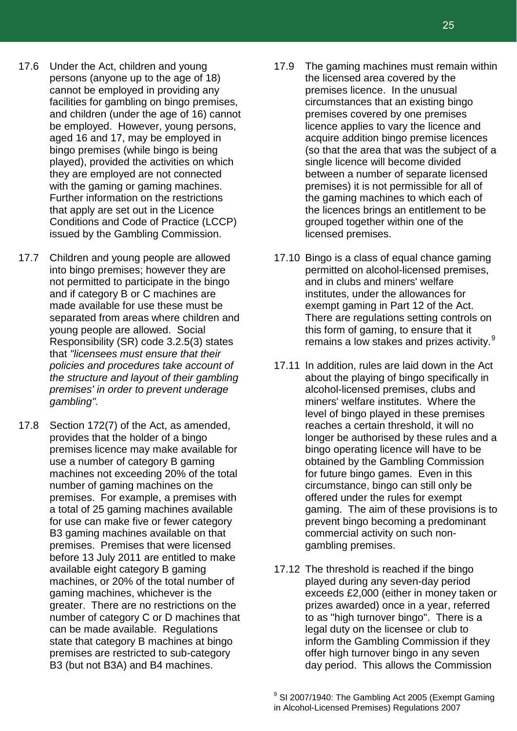- 17.6 Under the Act, children and young persons (anyone up to the age of 18) cannot be employed in providing any facilities for gambling on bingo premises, and children (under the age of 16) cannot be employed. However, young persons, aged 16 and 17, may be employed in bingo premises (while bingo is being played), provided the activities on which they are employed are not connected with the gaming or gaming machines. Further information on the restrictions that apply are set out in the Licence Conditions and Code of Practice (LCCP) issued by the Gambling Commission.
- 17.7 Children and young people are allowed into bingo premises; however they are not permitted to participate in the bingo and if category B or C machines are made available for use these must be separated from areas where children and young people are allowed. Social Responsibility (SR) code 3.2.5(3) states that *"licensees must ensure that their policies and procedures take account of the structure and layout of their gambling premises' in order to prevent underage gambling".*
- <span id="page-25-0"></span>17.8 Section 172(7) of the Act, as amended, provides that the holder of a bingo premises licence may make available for use a number of category B gaming machines not exceeding 20% of the total number of gaming machines on the premises. For example, a premises with a total of 25 gaming machines available for use can make five or fewer category B3 gaming machines available on that premises. Premises that were licensed before 13 July 2011 are entitled to make available eight category B gaming machines, or 20% of the total number of gaming machines, whichever is the greater. There are no restrictions on the number of category C or D machines that can be made available. Regulations state that category B machines at bingo premises are restricted to sub-category B3 (but not B3A) and B4 machines.
- 17.9 The gaming machines must remain within the licensed area covered by the premises licence. In the unusual circumstances that an existing bingo premises covered by one premises licence applies to vary the licence and acquire addition bingo premise licences (so that the area that was the subject of a single licence will become divided between a number of separate licensed premises) it is not permissible for all of the gaming machines to which each of the licences brings an entitlement to be grouped together within one of the licensed premises.
- 17.10 Bingo is a class of equal chance gaming permitted on alcohol-licensed premises, and in clubs and miners' welfare institutes, under the allowances for exempt gaming in Part 12 of the Act. There are regulations setting controls on this form of gaming, to ensure that it remains a low stakes and prizes activity.<sup>[9](#page-25-0)</sup>
- 17.11 In addition, rules are laid down in the Act about the playing of bingo specifically in alcohol-licensed premises, clubs and miners' welfare institutes. Where the level of bingo played in these premises reaches a certain threshold, it will no longer be authorised by these rules and a bingo operating licence will have to be obtained by the Gambling Commission for future bingo games. Even in this circumstance, bingo can still only be offered under the rules for exempt gaming. The aim of these provisions is to prevent bingo becoming a predominant commercial activity on such nongambling premises.
- 17.12 The threshold is reached if the bingo played during any seven-day period exceeds £2,000 (either in money taken or prizes awarded) once in a year, referred to as "high turnover bingo". There is a legal duty on the licensee or club to inform the Gambling Commission if they offer high turnover bingo in any seven day period. This allows the Commission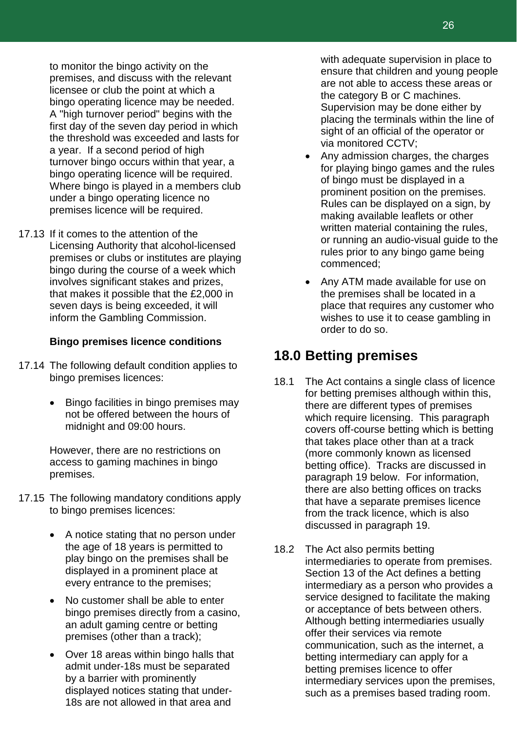to monitor the bingo activity on the premises, and discuss with the relevant licensee or club the point at which a bingo operating licence may be needed. A "high turnover period" begins with the first day of the seven day period in which the threshold was exceeded and lasts for a year. If a second period of high turnover bingo occurs within that year, a bingo operating licence will be required. Where bingo is played in a members club under a bingo operating licence no premises licence will be required.

17.13 If it comes to the attention of the Licensing Authority that alcohol-licensed premises or clubs or institutes are playing bingo during the course of a week which involves significant stakes and prizes, that makes it possible that the £2,000 in seven days is being exceeded, it will inform the Gambling Commission.

#### **Bingo premises licence conditions**

- 17.14 The following default condition applies to bingo premises licences:
	- Bingo facilities in bingo premises may not be offered between the hours of midnight and 09:00 hours.

However, there are no restrictions on access to gaming machines in bingo premises.

- 17.15 The following mandatory conditions apply to bingo premises licences:
	- A notice stating that no person under the age of 18 years is permitted to play bingo on the premises shall be displayed in a prominent place at every entrance to the premises;
	- No customer shall be able to enter bingo premises directly from a casino, an adult gaming centre or betting premises (other than a track);
	- Over 18 areas within bingo halls that admit under-18s must be separated by a barrier with prominently displayed notices stating that under-18s are not allowed in that area and

with adequate supervision in place to ensure that children and young people are not able to access these areas or the category B or C machines. Supervision may be done either by placing the terminals within the line of sight of an official of the operator or via monitored CCTV;

- Any admission charges, the charges for playing bingo games and the rules of bingo must be displayed in a prominent position on the premises. Rules can be displayed on a sign, by making available leaflets or other written material containing the rules, or running an audio-visual guide to the rules prior to any bingo game being commenced;
- Any ATM made available for use on the premises shall be located in a place that requires any customer who wishes to use it to cease gambling in order to do so.

### **18.0 Betting premises**

- 18.1 The Act contains a single class of licence for betting premises although within this, there are different types of premises which require licensing. This paragraph covers off-course betting which is betting that takes place other than at a track (more commonly known as licensed betting office). Tracks are discussed in paragraph 19 below. For information, there are also betting offices on tracks that have a separate premises licence from the track licence, which is also discussed in paragraph 19.
- 18.2 The Act also permits betting intermediaries to operate from premises. Section 13 of the Act defines a betting intermediary as a person who provides a service designed to facilitate the making or acceptance of bets between others. Although betting intermediaries usually offer their services via remote communication, such as the internet, a betting intermediary can apply for a betting premises licence to offer intermediary services upon the premises, such as a premises based trading room.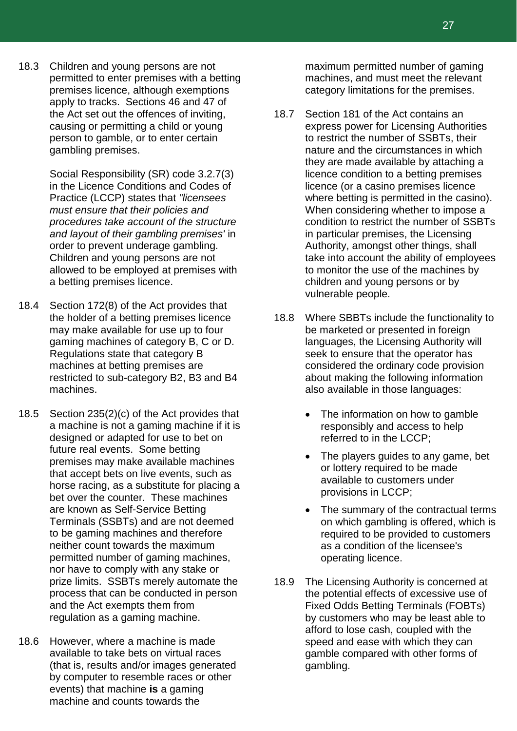18.3 Children and young persons are not permitted to enter premises with a betting premises licence, although exemptions apply to tracks. Sections 46 and 47 of the Act set out the offences of inviting, causing or permitting a child or young person to gamble, or to enter certain gambling premises.

> Social Responsibility (SR) code 3.2.7(3) in the Licence Conditions and Codes of Practice (LCCP) states that *"licensees must ensure that their policies and procedures take account of the structure and layout of their gambling premises'* in order to prevent underage gambling. Children and young persons are not allowed to be employed at premises with a betting premises licence.

- 18.4 Section 172(8) of the Act provides that the holder of a betting premises licence may make available for use up to four gaming machines of category B, C or D. Regulations state that category B machines at betting premises are restricted to sub-category B2, B3 and B4 machines.
- 18.5 Section 235(2)(c) of the Act provides that a machine is not a gaming machine if it is designed or adapted for use to bet on future real events. Some betting premises may make available machines that accept bets on live events, such as horse racing, as a substitute for placing a bet over the counter. These machines are known as Self-Service Betting Terminals (SSBTs) and are not deemed to be gaming machines and therefore neither count towards the maximum permitted number of gaming machines, nor have to comply with any stake or prize limits. SSBTs merely automate the process that can be conducted in person and the Act exempts them from regulation as a gaming machine.
- 18.6 However, where a machine is made available to take bets on virtual races (that is, results and/or images generated by computer to resemble races or other events) that machine **is** a gaming machine and counts towards the

maximum permitted number of gaming machines, and must meet the relevant category limitations for the premises.

- 18.7 Section 181 of the Act contains an express power for Licensing Authorities to restrict the number of SSBTs, their nature and the circumstances in which they are made available by attaching a licence condition to a betting premises licence (or a casino premises licence where betting is permitted in the casino). When considering whether to impose a condition to restrict the number of SSBTs in particular premises, the Licensing Authority, amongst other things, shall take into account the ability of employees to monitor the use of the machines by children and young persons or by vulnerable people.
- 18.8 Where SBBTs include the functionality to be marketed or presented in foreign languages, the Licensing Authority will seek to ensure that the operator has considered the ordinary code provision about making the following information also available in those languages:
	- The information on how to gamble responsibly and access to help referred to in the LCCP;
	- The players guides to any game, bet or lottery required to be made available to customers under provisions in LCCP;
	- The summary of the contractual terms on which gambling is offered, which is required to be provided to customers as a condition of the licensee's operating licence.
- 18.9 The Licensing Authority is concerned at the potential effects of excessive use of Fixed Odds Betting Terminals (FOBTs) by customers who may be least able to afford to lose cash, coupled with the speed and ease with which they can gamble compared with other forms of gambling.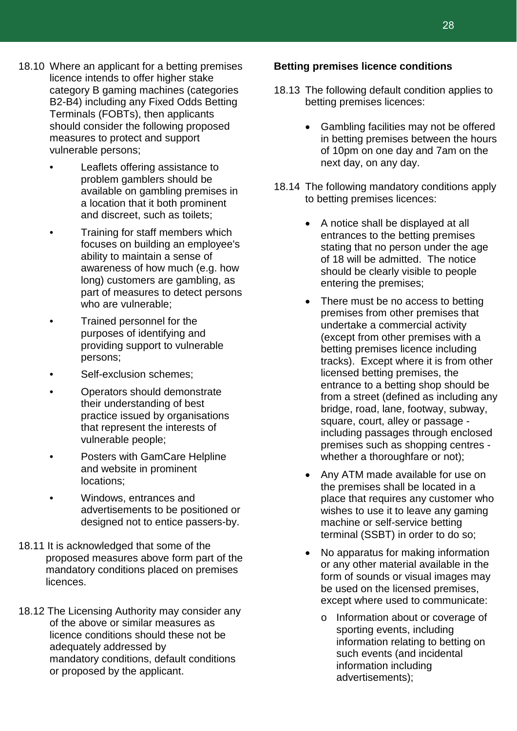- 18.10 Where an applicant for a betting premises licence intends to offer higher stake category B gaming machines (categories B2-B4) including any Fixed Odds Betting Terminals (FOBTs), then applicants should consider the following proposed measures to protect and support vulnerable persons;
	- Leaflets offering assistance to problem gamblers should be available on gambling premises in a location that it both prominent and discreet, such as toilets;
	- Training for staff members which focuses on building an employee's ability to maintain a sense of awareness of how much (e.g. how long) customers are gambling, as part of measures to detect persons who are vulnerable;
	- Trained personnel for the purposes of identifying and providing support to vulnerable persons;
	- Self-exclusion schemes;
	- Operators should demonstrate their understanding of best practice issued by organisations that represent the interests of vulnerable people;
	- Posters with GamCare Helpline and website in prominent locations;
	- Windows, entrances and advertisements to be positioned or designed not to entice passers-by.
- 18.11 It is acknowledged that some of the proposed measures above form part of the mandatory conditions placed on premises licences.
- 18.12 The Licensing Authority may consider any of the above or similar measures as licence conditions should these not be adequately addressed by mandatory conditions, default conditions or proposed by the applicant.

#### **Betting premises licence conditions**

- 18.13 The following default condition applies to betting premises licences:
	- Gambling facilities may not be offered in betting premises between the hours of 10pm on one day and 7am on the next day, on any day.
- 18.14 The following mandatory conditions apply to betting premises licences:
	- A notice shall be displayed at all entrances to the betting premises stating that no person under the age of 18 will be admitted. The notice should be clearly visible to people entering the premises;
	- There must be no access to betting premises from other premises that undertake a commercial activity (except from other premises with a betting premises licence including tracks). Except where it is from other licensed betting premises, the entrance to a betting shop should be from a street (defined as including any bridge, road, lane, footway, subway, square, court, alley or passage including passages through enclosed premises such as shopping centres whether a thoroughfare or not);
	- Any ATM made available for use on the premises shall be located in a place that requires any customer who wishes to use it to leave any gaming machine or self-service betting terminal (SSBT) in order to do so;
	- No apparatus for making information or any other material available in the form of sounds or visual images may be used on the licensed premises, except where used to communicate:
		- o Information about or coverage of sporting events, including information relating to betting on such events (and incidental information including advertisements);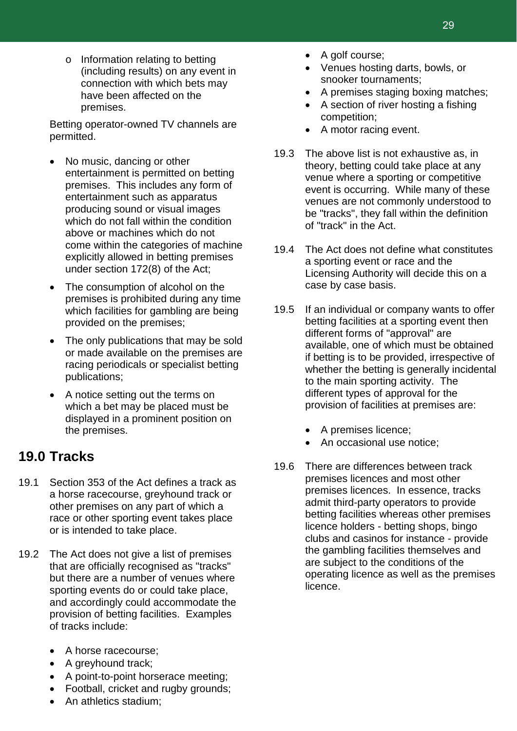o Information relating to betting (including results) on any event in connection with which bets may have been affected on the premises.

Betting operator-owned TV channels are permitted.

- No music, dancing or other entertainment is permitted on betting premises. This includes any form of entertainment such as apparatus producing sound or visual images which do not fall within the condition above or machines which do not come within the categories of machine explicitly allowed in betting premises under section 172(8) of the Act;
- The consumption of alcohol on the premises is prohibited during any time which facilities for gambling are being provided on the premises;
- The only publications that may be sold or made available on the premises are racing periodicals or specialist betting publications;
- A notice setting out the terms on which a bet may be placed must be displayed in a prominent position on the premises.

### **19.0 Tracks**

- 19.1 Section 353 of the Act defines a track as a horse racecourse, greyhound track or other premises on any part of which a race or other sporting event takes place or is intended to take place.
- 19.2 The Act does not give a list of premises that are officially recognised as "tracks" but there are a number of venues where sporting events do or could take place, and accordingly could accommodate the provision of betting facilities. Examples of tracks include:
	- A horse racecourse;
	- A greyhound track;
	- A point-to-point horserace meeting;
	- Football, cricket and rugby grounds;
	- An athletics stadium:
- A golf course;
- Venues hosting darts, bowls, or snooker tournaments;
- A premises staging boxing matches;
- A section of river hosting a fishing competition;
- A motor racing event.
- 19.3 The above list is not exhaustive as, in theory, betting could take place at any venue where a sporting or competitive event is occurring. While many of these venues are not commonly understood to be "tracks", they fall within the definition of "track" in the Act.
- 19.4 The Act does not define what constitutes a sporting event or race and the Licensing Authority will decide this on a case by case basis.
- 19.5 If an individual or company wants to offer betting facilities at a sporting event then different forms of "approval" are available, one of which must be obtained if betting is to be provided, irrespective of whether the betting is generally incidental to the main sporting activity. The different types of approval for the provision of facilities at premises are:
	- A premises licence;
	- An occasional use notice:
- 19.6 There are differences between track premises licences and most other premises licences. In essence, tracks admit third-party operators to provide betting facilities whereas other premises licence holders - betting shops, bingo clubs and casinos for instance - provide the gambling facilities themselves and are subject to the conditions of the operating licence as well as the premises licence.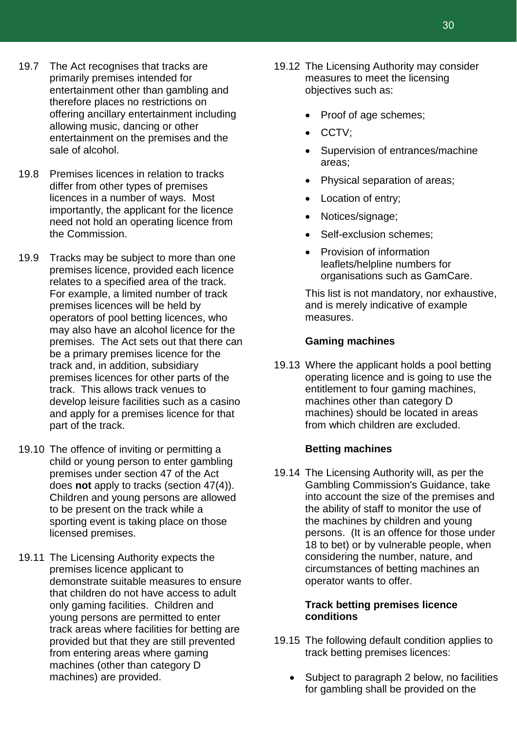- 19.7 The Act recognises that tracks are primarily premises intended for entertainment other than gambling and therefore places no restrictions on offering ancillary entertainment including allowing music, dancing or other entertainment on the premises and the sale of alcohol.
- 19.8 Premises licences in relation to tracks differ from other types of premises licences in a number of ways. Most importantly, the applicant for the licence need not hold an operating licence from the Commission.
- 19.9 Tracks may be subject to more than one premises licence, provided each licence relates to a specified area of the track. For example, a limited number of track premises licences will be held by operators of pool betting licences, who may also have an alcohol licence for the premises. The Act sets out that there can be a primary premises licence for the track and, in addition, subsidiary premises licences for other parts of the track. This allows track venues to develop leisure facilities such as a casino and apply for a premises licence for that part of the track.
- 19.10 The offence of inviting or permitting a child or young person to enter gambling premises under section 47 of the Act does **not** apply to tracks (section 47(4)). Children and young persons are allowed to be present on the track while a sporting event is taking place on those licensed premises.
- 19.11 The Licensing Authority expects the premises licence applicant to demonstrate suitable measures to ensure that children do not have access to adult only gaming facilities. Children and young persons are permitted to enter track areas where facilities for betting are provided but that they are still prevented from entering areas where gaming machines (other than category D machines) are provided.
- 19.12 The Licensing Authority may consider measures to meet the licensing objectives such as:
	- Proof of age schemes;
	- CCTV;
	- Supervision of entrances/machine areas;
	- Physical separation of areas;
	- Location of entry;
	- Notices/signage;
	- Self-exclusion schemes:
	- Provision of information leaflets/helpline numbers for organisations such as GamCare.

This list is not mandatory, nor exhaustive, and is merely indicative of example measures.

#### **Gaming machines**

19.13 Where the applicant holds a pool betting operating licence and is going to use the entitlement to four gaming machines, machines other than category D machines) should be located in areas from which children are excluded.

#### **Betting machines**

19.14 The Licensing Authority will, as per the Gambling Commission's Guidance, take into account the size of the premises and the ability of staff to monitor the use of the machines by children and young persons. (It is an offence for those under 18 to bet) or by vulnerable people, when considering the number, nature, and circumstances of betting machines an operator wants to offer.

#### **Track betting premises licence conditions**

- 19.15 The following default condition applies to track betting premises licences:
	- Subject to paragraph 2 below, no facilities for gambling shall be provided on the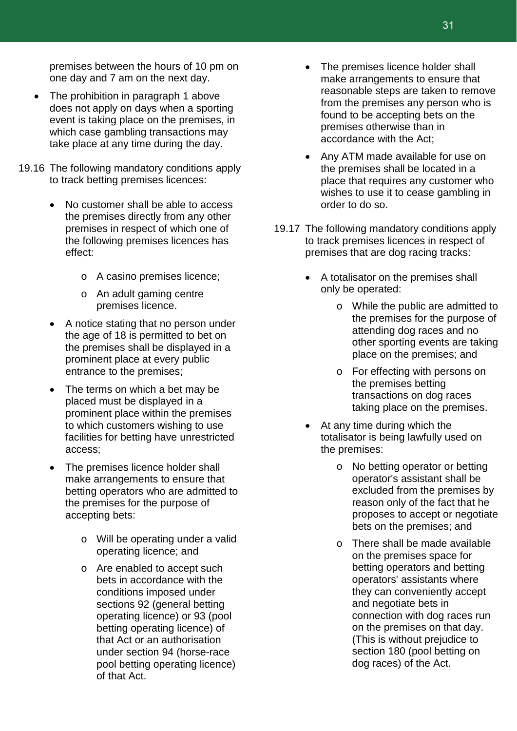premises between the hours of 10 pm on one day and 7 am on the next day.

- The prohibition in paragraph 1 above does not apply on days when a sporting event is taking place on the premises, in which case gambling transactions may take place at any time during the day.
- 19.16 The following mandatory conditions apply to track betting premises licences:
	- No customer shall be able to access the premises directly from any other premises in respect of which one of the following premises licences has effect:
		- o A casino premises licence;
		- o An adult gaming centre premises licence.
	- A notice stating that no person under the age of 18 is permitted to bet on the premises shall be displayed in a prominent place at every public entrance to the premises;
	- The terms on which a bet may be placed must be displayed in a prominent place within the premises to which customers wishing to use facilities for betting have unrestricted access;
	- The premises licence holder shall make arrangements to ensure that betting operators who are admitted to the premises for the purpose of accepting bets:
		- o Will be operating under a valid operating licence; and
		- o Are enabled to accept such bets in accordance with the conditions imposed under sections 92 (general betting operating licence) or 93 (pool betting operating licence) of that Act or an authorisation under section 94 (horse-race pool betting operating licence) of that Act.
- The premises licence holder shall make arrangements to ensure that reasonable steps are taken to remove from the premises any person who is found to be accepting bets on the premises otherwise than in accordance with the Act;
- Any ATM made available for use on the premises shall be located in a place that requires any customer who wishes to use it to cease gambling in order to do so.
- 19.17 The following mandatory conditions apply to track premises licences in respect of premises that are dog racing tracks:
	- A totalisator on the premises shall only be operated:
		- o While the public are admitted to the premises for the purpose of attending dog races and no other sporting events are taking place on the premises; and
		- o For effecting with persons on the premises betting transactions on dog races taking place on the premises.
	- At any time during which the totalisator is being lawfully used on the premises:
		- o No betting operator or betting operator's assistant shall be excluded from the premises by reason only of the fact that he proposes to accept or negotiate bets on the premises; and
		- o There shall be made available on the premises space for betting operators and betting operators' assistants where they can conveniently accept and negotiate bets in connection with dog races run on the premises on that day. (This is without prejudice to section 180 (pool betting on dog races) of the Act.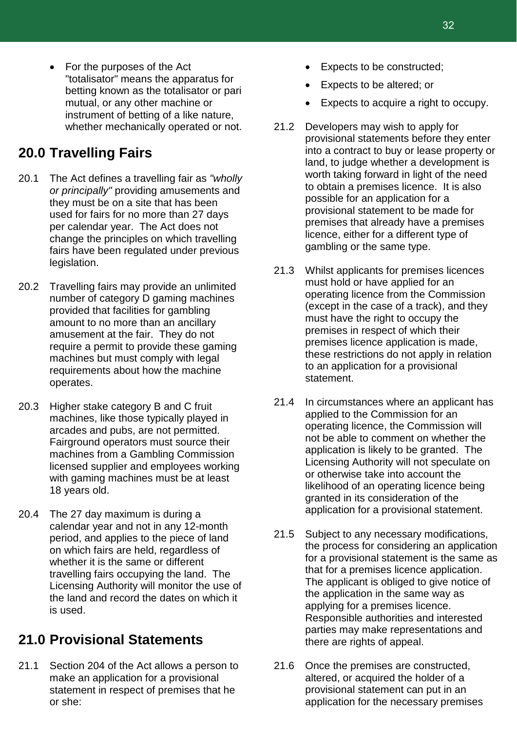• For the purposes of the Act "totalisator" means the apparatus for betting known as the totalisator or pari mutual, or any other machine or instrument of betting of a like nature, whether mechanically operated or not.

### **20.0 Travelling Fairs**

- 20.1 The Act defines a travelling fair as *"wholly or principally"* providing amusements and they must be on a site that has been used for fairs for no more than 27 days per calendar year. The Act does not change the principles on which travelling fairs have been regulated under previous legislation.
- 20.2 Travelling fairs may provide an unlimited number of category D gaming machines provided that facilities for gambling amount to no more than an ancillary amusement at the fair. They do not require a permit to provide these gaming machines but must comply with legal requirements about how the machine operates.
- 20.3 Higher stake category B and C fruit machines, like those typically played in arcades and pubs, are not permitted. Fairground operators must source their machines from a Gambling Commission licensed supplier and employees working with gaming machines must be at least 18 years old.
- 20.4 The 27 day maximum is during a calendar year and not in any 12-month period, and applies to the piece of land on which fairs are held, regardless of whether it is the same or different travelling fairs occupying the land. The Licensing Authority will monitor the use of the land and record the dates on which it is used.

### **21.0 Provisional Statements**

21.1 Section 204 of the Act allows a person to make an application for a provisional statement in respect of premises that he or she:

- Expects to be constructed;
- Expects to be altered; or
- Expects to acquire a right to occupy.
- 21.2 Developers may wish to apply for provisional statements before they enter into a contract to buy or lease property or land, to judge whether a development is worth taking forward in light of the need to obtain a premises licence. It is also possible for an application for a provisional statement to be made for premises that already have a premises licence, either for a different type of gambling or the same type.
- 21.3 Whilst applicants for premises licences must hold or have applied for an operating licence from the Commission (except in the case of a track), and they must have the right to occupy the premises in respect of which their premises licence application is made, these restrictions do not apply in relation to an application for a provisional statement.
- 21.4 In circumstances where an applicant has applied to the Commission for an operating licence, the Commission will not be able to comment on whether the application is likely to be granted. The Licensing Authority will not speculate on or otherwise take into account the likelihood of an operating licence being granted in its consideration of the application for a provisional statement.
- 21.5 Subject to any necessary modifications, the process for considering an application for a provisional statement is the same as that for a premises licence application. The applicant is obliged to give notice of the application in the same way as applying for a premises licence. Responsible authorities and interested parties may make representations and there are rights of appeal.
- 21.6 Once the premises are constructed, altered, or acquired the holder of a provisional statement can put in an application for the necessary premises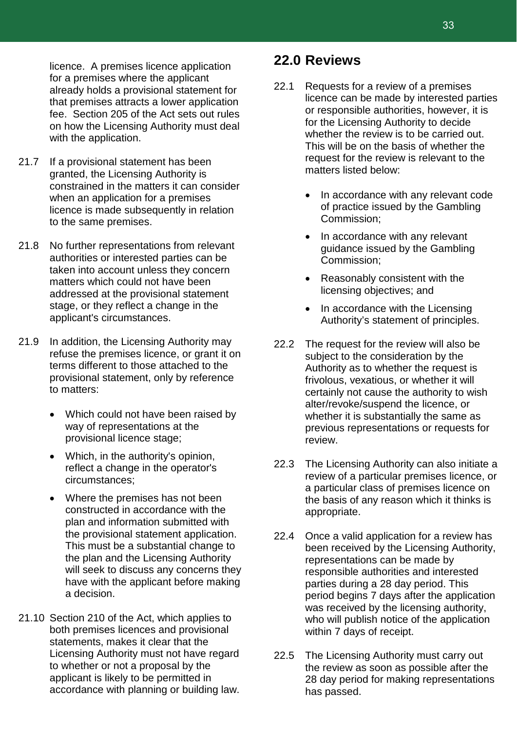licence. A premises licence application for a premises where the applicant already holds a provisional statement for that premises attracts a lower application fee. Section 205 of the Act sets out rules on how the Licensing Authority must deal with the application.

- 21.7 If a provisional statement has been granted, the Licensing Authority is constrained in the matters it can consider when an application for a premises licence is made subsequently in relation to the same premises.
- 21.8 No further representations from relevant authorities or interested parties can be taken into account unless they concern matters which could not have been addressed at the provisional statement stage, or they reflect a change in the applicant's circumstances.
- 21.9 In addition, the Licensing Authority may refuse the premises licence, or grant it on terms different to those attached to the provisional statement, only by reference to matters:
	- Which could not have been raised by way of representations at the provisional licence stage;
	- Which, in the authority's opinion, reflect a change in the operator's circumstances;
	- Where the premises has not been constructed in accordance with the plan and information submitted with the provisional statement application. This must be a substantial change to the plan and the Licensing Authority will seek to discuss any concerns they have with the applicant before making a decision.
- 21.10 Section 210 of the Act, which applies to both premises licences and provisional statements, makes it clear that the Licensing Authority must not have regard to whether or not a proposal by the applicant is likely to be permitted in accordance with planning or building law.

### **22.0 Reviews**

- 22.1 Requests for a review of a premises licence can be made by interested parties or responsible authorities, however, it is for the Licensing Authority to decide whether the review is to be carried out. This will be on the basis of whether the request for the review is relevant to the matters listed below:
	- In accordance with any relevant code of practice issued by the Gambling Commission;
	- In accordance with any relevant guidance issued by the Gambling Commission;
	- Reasonably consistent with the licensing objectives; and
	- In accordance with the Licensing Authority's statement of principles.
- 22.2 The request for the review will also be subject to the consideration by the Authority as to whether the request is frivolous, vexatious, or whether it will certainly not cause the authority to wish alter/revoke/suspend the licence, or whether it is substantially the same as previous representations or requests for review.
- 22.3 The Licensing Authority can also initiate a review of a particular premises licence, or a particular class of premises licence on the basis of any reason which it thinks is appropriate.
- 22.4 Once a valid application for a review has been received by the Licensing Authority, representations can be made by responsible authorities and interested parties during a 28 day period. This period begins 7 days after the application was received by the licensing authority, who will publish notice of the application within 7 days of receipt.
- 22.5 The Licensing Authority must carry out the review as soon as possible after the 28 day period for making representations has passed.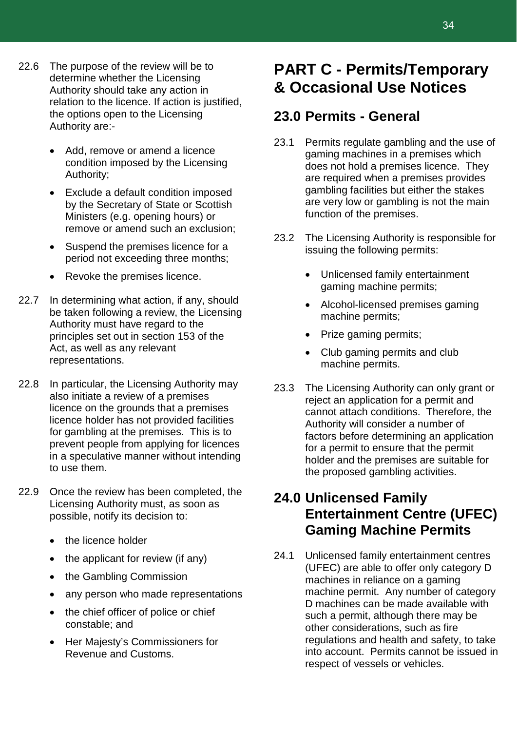- 22.6 The purpose of the review will be to determine whether the Licensing Authority should take any action in relation to the licence. If action is justified, the options open to the Licensing Authority are:-
	- Add, remove or amend a licence condition imposed by the Licensing Authority;
	- Exclude a default condition imposed by the Secretary of State or Scottish Ministers (e.g. opening hours) or remove or amend such an exclusion;
	- Suspend the premises licence for a period not exceeding three months;
	- Revoke the premises licence.
- 22.7 In determining what action, if any, should be taken following a review, the Licensing Authority must have regard to the principles set out in section 153 of the Act, as well as any relevant representations.
- 22.8 In particular, the Licensing Authority may also initiate a review of a premises licence on the grounds that a premises licence holder has not provided facilities for gambling at the premises. This is to prevent people from applying for licences in a speculative manner without intending to use them.
- 22.9 Once the review has been completed, the Licensing Authority must, as soon as possible, notify its decision to:
	- the licence holder
	- the applicant for review (if any)
	- the Gambling Commission
	- any person who made representations
	- the chief officer of police or chief constable; and
	- Her Majesty's Commissioners for Revenue and Customs.

### **PART C - Permits/Temporary & Occasional Use Notices**

### **23.0 Permits - General**

- 23.1 Permits regulate gambling and the use of gaming machines in a premises which does not hold a premises licence. They are required when a premises provides gambling facilities but either the stakes are very low or gambling is not the main function of the premises.
- 23.2 The Licensing Authority is responsible for issuing the following permits:
	- Unlicensed family entertainment gaming machine permits;
	- Alcohol-licensed premises gaming machine permits;
	- Prize gaming permits;
	- Club gaming permits and club machine permits.
- 23.3 The Licensing Authority can only grant or reject an application for a permit and cannot attach conditions. Therefore, the Authority will consider a number of factors before determining an application for a permit to ensure that the permit holder and the premises are suitable for the proposed gambling activities.

### **24.0 Unlicensed Family Entertainment Centre (UFEC) Gaming Machine Permits**

24.1 Unlicensed family entertainment centres (UFEC) are able to offer only category D machines in reliance on a gaming machine permit. Any number of category D machines can be made available with such a permit, although there may be other considerations, such as fire regulations and health and safety, to take into account. Permits cannot be issued in respect of vessels or vehicles.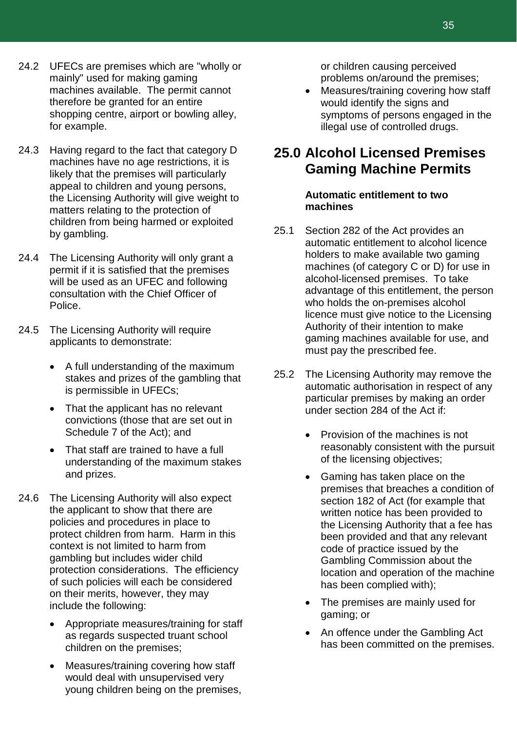- 24.2 UFECs are premises which are "wholly or mainly" used for making gaming machines available. The permit cannot therefore be granted for an entire shopping centre, airport or bowling alley, for example.
- 24.3 Having regard to the fact that category D machines have no age restrictions, it is likely that the premises will particularly appeal to children and young persons, the Licensing Authority will give weight to matters relating to the protection of children from being harmed or exploited by gambling.
- 24.4 The Licensing Authority will only grant a permit if it is satisfied that the premises will be used as an UFEC and following consultation with the Chief Officer of Police.
- 24.5 The Licensing Authority will require applicants to demonstrate:
	- A full understanding of the maximum stakes and prizes of the gambling that is permissible in UFECs;
	- That the applicant has no relevant convictions (those that are set out in Schedule 7 of the Act); and
	- That staff are trained to have a full understanding of the maximum stakes and prizes.
- 24.6 The Licensing Authority will also expect the applicant to show that there are policies and procedures in place to protect children from harm. Harm in this context is not limited to harm from gambling but includes wider child protection considerations. The efficiency of such policies will each be considered on their merits, however, they may include the following:
	- Appropriate measures/training for staff as regards suspected truant school children on the premises;
	- Measures/training covering how staff would deal with unsupervised very young children being on the premises,

or children causing perceived problems on/around the premises;

• Measures/training covering how staff would identify the signs and symptoms of persons engaged in the illegal use of controlled drugs.

### **25.0 Alcohol Licensed Premises Gaming Machine Permits**

#### **Automatic entitlement to two machines**

- 25.1 Section 282 of the Act provides an automatic entitlement to alcohol licence holders to make available two gaming machines (of category C or D) for use in alcohol-licensed premises. To take advantage of this entitlement, the person who holds the on-premises alcohol licence must give notice to the Licensing Authority of their intention to make gaming machines available for use, and must pay the prescribed fee.
- 25.2 The Licensing Authority may remove the automatic authorisation in respect of any particular premises by making an order under section 284 of the Act if:
	- Provision of the machines is not reasonably consistent with the pursuit of the licensing objectives;
	- Gaming has taken place on the premises that breaches a condition of section 182 of Act (for example that written notice has been provided to the Licensing Authority that a fee has been provided and that any relevant code of practice issued by the Gambling Commission about the location and operation of the machine has been complied with);
	- The premises are mainly used for gaming; or
	- An offence under the Gambling Act has been committed on the premises.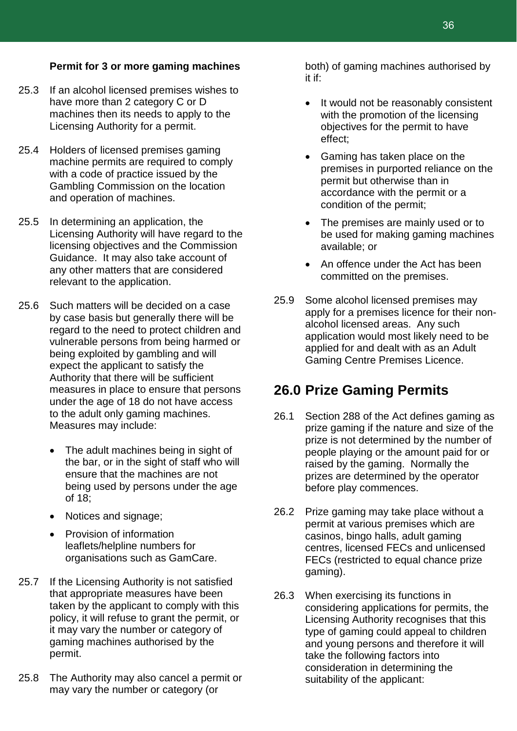#### **Permit for 3 or more gaming machines**

- 25.3 If an alcohol licensed premises wishes to have more than 2 category C or D machines then its needs to apply to the Licensing Authority for a permit.
- 25.4 Holders of licensed premises gaming machine permits are required to comply with a code of practice issued by the Gambling Commission on the location and operation of machines.
- 25.5 In determining an application, the Licensing Authority will have regard to the licensing objectives and the Commission Guidance. It may also take account of any other matters that are considered relevant to the application.
- 25.6 Such matters will be decided on a case by case basis but generally there will be regard to the need to protect children and vulnerable persons from being harmed or being exploited by gambling and will expect the applicant to satisfy the Authority that there will be sufficient measures in place to ensure that persons under the age of 18 do not have access to the adult only gaming machines. Measures may include:
	- The adult machines being in sight of the bar, or in the sight of staff who will ensure that the machines are not being used by persons under the age of 18;
	- Notices and signage;
	- Provision of information leaflets/helpline numbers for organisations such as GamCare.
- 25.7 If the Licensing Authority is not satisfied that appropriate measures have been taken by the applicant to comply with this policy, it will refuse to grant the permit, or it may vary the number or category of gaming machines authorised by the permit.
- 25.8 The Authority may also cancel a permit or may vary the number or category (or

both) of gaming machines authorised by it if:

- It would not be reasonably consistent with the promotion of the licensing objectives for the permit to have effect;
- Gaming has taken place on the premises in purported reliance on the permit but otherwise than in accordance with the permit or a condition of the permit;
- The premises are mainly used or to be used for making gaming machines available; or
- An offence under the Act has been committed on the premises.
- 25.9 Some alcohol licensed premises may apply for a premises licence for their nonalcohol licensed areas. Any such application would most likely need to be applied for and dealt with as an Adult Gaming Centre Premises Licence.

### **26.0 Prize Gaming Permits**

- 26.1 Section 288 of the Act defines gaming as prize gaming if the nature and size of the prize is not determined by the number of people playing or the amount paid for or raised by the gaming. Normally the prizes are determined by the operator before play commences.
- 26.2 Prize gaming may take place without a permit at various premises which are casinos, bingo halls, adult gaming centres, licensed FECs and unlicensed FECs (restricted to equal chance prize gaming).
- 26.3 When exercising its functions in considering applications for permits, the Licensing Authority recognises that this type of gaming could appeal to children and young persons and therefore it will take the following factors into consideration in determining the suitability of the applicant: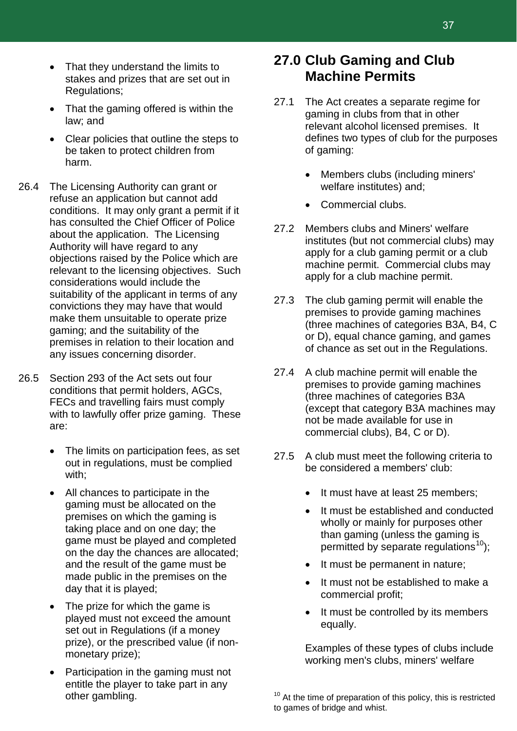- That they understand the limits to stakes and prizes that are set out in Regulations;
- That the gaming offered is within the law; and
- Clear policies that outline the steps to be taken to protect children from harm.
- 26.4 The Licensing Authority can grant or refuse an application but cannot add conditions. It may only grant a permit if it has consulted the Chief Officer of Police about the application. The Licensing Authority will have regard to any objections raised by the Police which are relevant to the licensing objectives. Such considerations would include the suitability of the applicant in terms of any convictions they may have that would make them unsuitable to operate prize gaming; and the suitability of the premises in relation to their location and any issues concerning disorder.
- 26.5 Section 293 of the Act sets out four conditions that permit holders, AGCs, FECs and travelling fairs must comply with to lawfully offer prize gaming. These are:
	- The limits on participation fees, as set out in regulations, must be complied with;
	- All chances to participate in the gaming must be allocated on the premises on which the gaming is taking place and on one day; the game must be played and completed on the day the chances are allocated; and the result of the game must be made public in the premises on the day that it is played;
	- The prize for which the game is played must not exceed the amount set out in Regulations (if a money prize), or the prescribed value (if nonmonetary prize);
	- Participation in the gaming must not entitle the player to take part in any other gambling.

### **27.0 Club Gaming and Club Machine Permits**

- 27.1 The Act creates a separate regime for gaming in clubs from that in other relevant alcohol licensed premises. It defines two types of club for the purposes of gaming:
	- Members clubs (including miners' welfare institutes) and;
	- Commercial clubs.
- 27.2 Members clubs and Miners' welfare institutes (but not commercial clubs) may apply for a club gaming permit or a club machine permit. Commercial clubs may apply for a club machine permit.
- 27.3 The club gaming permit will enable the premises to provide gaming machines (three machines of categories B3A, B4, C or D), equal chance gaming, and games of chance as set out in the Regulations.
- 27.4 A club machine permit will enable the premises to provide gaming machines (three machines of categories B3A (except that category B3A machines may not be made available for use in commercial clubs), B4, C or D).
- 27.5 A club must meet the following criteria to be considered a members' club:
	- It must have at least 25 members;
	- It must be established and conducted wholly or mainly for purposes other than gaming (unless the gaming is permitted by separate regulations<sup>[10](#page-37-0)</sup>);
	- It must be permanent in nature;
	- It must not be established to make a commercial profit;
	- It must be controlled by its members equally.

Examples of these types of clubs include working men's clubs, miners' welfare

<span id="page-37-0"></span> $10<sup>10</sup>$  At the time of preparation of this policy, this is restricted to games of bridge and whist.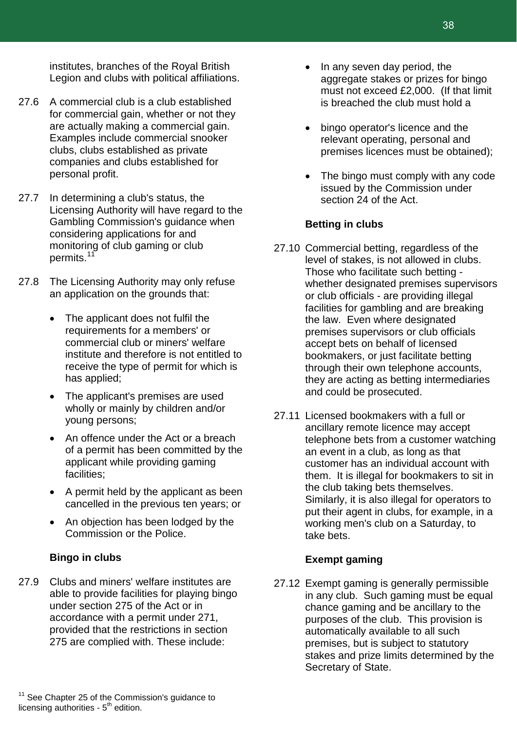institutes, branches of the Royal British Legion and clubs with political affiliations.

- 27.6 A commercial club is a club established for commercial gain, whether or not they are actually making a commercial gain. Examples include commercial snooker clubs, clubs established as private companies and clubs established for personal profit.
- 27.7 In determining a club's status, the Licensing Authority will have regard to the Gambling Commission's guidance when considering applications for and monitoring of club gaming or club permits.<sup>[11](#page-38-0)</sup>
- 27.8 The Licensing Authority may only refuse an application on the grounds that:
	- The applicant does not fulfil the requirements for a members' or commercial club or miners' welfare institute and therefore is not entitled to receive the type of permit for which is has applied;
	- The applicant's premises are used wholly or mainly by children and/or young persons;
	- An offence under the Act or a breach of a permit has been committed by the applicant while providing gaming facilities;
	- A permit held by the applicant as been cancelled in the previous ten years; or
	- An objection has been lodged by the Commission or the Police.

#### **Bingo in clubs**

<span id="page-38-0"></span>27.9 Clubs and miners' welfare institutes are able to provide facilities for playing bingo under section 275 of the Act or in accordance with a permit under 271, provided that the restrictions in section 275 are complied with. These include:

- In any seven day period, the aggregate stakes or prizes for bingo must not exceed £2,000. (If that limit is breached the club must hold a
- bingo operator's licence and the relevant operating, personal and premises licences must be obtained);
- The bingo must comply with any code issued by the Commission under section 24 of the Act.

#### **Betting in clubs**

- 27.10 Commercial betting, regardless of the level of stakes, is not allowed in clubs. Those who facilitate such betting whether designated premises supervisors or club officials - are providing illegal facilities for gambling and are breaking the law.Even where designated premises supervisors or club officials accept bets on behalf of licensed bookmakers, or just facilitate betting through their own telephone accounts, they are acting as betting intermediaries and could be prosecuted.
- 27.11 Licensed bookmakers with a full or ancillary remote licence may accept telephone bets from a customer watching an event in a club, as long as that customer has an individual account with them. It is illegal for bookmakers to sit in the club taking bets themselves. Similarly, it is also illegal for operators to put their agent in clubs, for example, in a working men's club on a Saturday, to take bets.

#### **Exempt gaming**

27.12 Exempt gaming is generally permissible in any club. Such gaming must be equal chance gaming and be ancillary to the purposes of the club. This provision is automatically available to all such premises, but is subject to statutory stakes and prize limits determined by the Secretary of State.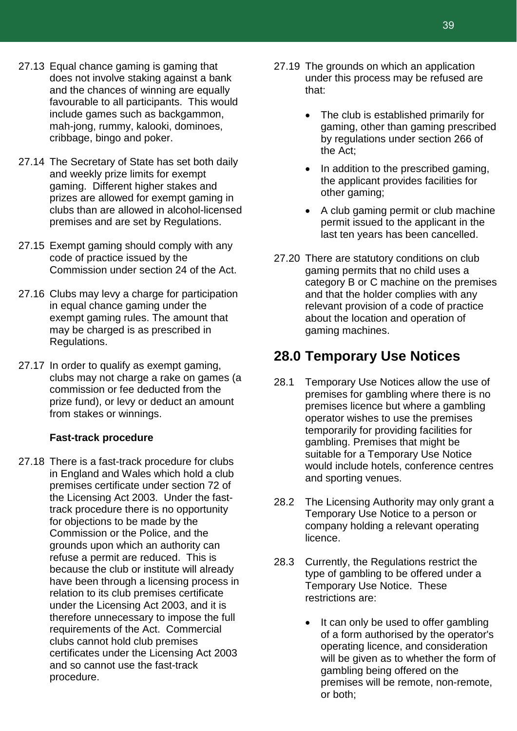- 27.13 Equal chance gaming is gaming that does not involve staking against a bank and the chances of winning are equally favourable to all participants. This would include games such as backgammon, mah-jong, rummy, kalooki, dominoes, cribbage, bingo and poker.
- 27.14 The Secretary of State has set both daily and weekly prize limits for exempt gaming. Different higher stakes and prizes are allowed for exempt gaming in clubs than are allowed in alcohol-licensed premises and are set by Regulations.
- 27.15 Exempt gaming should comply with any code of practice issued by the Commission under section 24 of the Act.
- 27.16 Clubs may levy a charge for participation in equal chance gaming under the exempt gaming rules. The amount that may be charged is as prescribed in Regulations.
- 27.17 In order to qualify as exempt gaming, clubs may not charge a rake on games (a commission or fee deducted from the prize fund), or levy or deduct an amount from stakes or winnings.

#### **Fast-track procedure**

27.18 There is a fast-track procedure for clubs in England and Wales which hold a club premises certificate under section 72 of the Licensing Act 2003. Under the fasttrack procedure there is no opportunity for objections to be made by the Commission or the Police, and the grounds upon which an authority can refuse a permit are reduced. This is because the club or institute will already have been through a licensing process in relation to its club premises certificate under the Licensing Act 2003, and it is therefore unnecessary to impose the full requirements of the Act. Commercial clubs cannot hold club premises certificates under the Licensing Act 2003 and so cannot use the fast-track procedure.

- 27.19 The grounds on which an application under this process may be refused are that:
	- The club is established primarily for gaming, other than gaming prescribed by regulations under section 266 of the Act;
	- In addition to the prescribed gaming, the applicant provides facilities for other gaming;
	- A club gaming permit or club machine permit issued to the applicant in the last ten years has been cancelled.
- 27.20 There are statutory conditions on club gaming permits that no child uses a category B or C machine on the premises and that the holder complies with any relevant provision of a code of practice about the location and operation of gaming machines.

### **28.0 Temporary Use Notices**

- 28.1 Temporary Use Notices allow the use of premises for gambling where there is no premises licence but where a gambling operator wishes to use the premises temporarily for providing facilities for gambling. Premises that might be suitable for a Temporary Use Notice would include hotels, conference centres and sporting venues.
- 28.2 The Licensing Authority may only grant a Temporary Use Notice to a person or company holding a relevant operating licence.
- 28.3 Currently, the Regulations restrict the type of gambling to be offered under a Temporary Use Notice. These restrictions are:
	- It can only be used to offer gambling of a form authorised by the operator's operating licence, and consideration will be given as to whether the form of gambling being offered on the premises will be remote, non-remote, or both;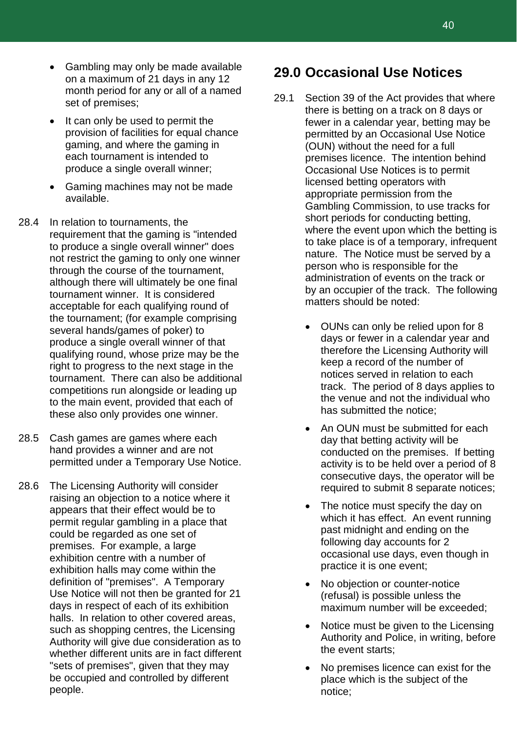- Gambling may only be made available on a maximum of 21 days in any 12 month period for any or all of a named set of premises;
- It can only be used to permit the provision of facilities for equal chance gaming, and where the gaming in each tournament is intended to produce a single overall winner;
- Gaming machines may not be made available.
- 28.4 In relation to tournaments, the requirement that the gaming is "intended to produce a single overall winner" does not restrict the gaming to only one winner through the course of the tournament, although there will ultimately be one final tournament winner. It is considered acceptable for each qualifying round of the tournament; (for example comprising several hands/games of poker) to produce a single overall winner of that qualifying round, whose prize may be the right to progress to the next stage in the tournament. There can also be additional competitions run alongside or leading up to the main event, provided that each of these also only provides one winner.
- 28.5 Cash games are games where each hand provides a winner and are not permitted under a Temporary Use Notice.
- 28.6 The Licensing Authority will consider raising an objection to a notice where it appears that their effect would be to permit regular gambling in a place that could be regarded as one set of premises. For example, a large exhibition centre with a number of exhibition halls may come within the definition of "premises". A Temporary Use Notice will not then be granted for 21 days in respect of each of its exhibition halls. In relation to other covered areas, such as shopping centres, the Licensing Authority will give due consideration as to whether different units are in fact different "sets of premises", given that they may be occupied and controlled by different people.

### **29.0 Occasional Use Notices**

- 29.1 Section 39 of the Act provides that where there is betting on a track on 8 days or fewer in a calendar year, betting may be permitted by an Occasional Use Notice (OUN) without the need for a full premises licence. The intention behind Occasional Use Notices is to permit licensed betting operators with appropriate permission from the Gambling Commission, to use tracks for short periods for conducting betting, where the event upon which the betting is to take place is of a temporary, infrequent nature. The Notice must be served by a person who is responsible for the administration of events on the track or by an occupier of the track. The following matters should be noted:
	- OUNs can only be relied upon for 8 days or fewer in a calendar year and therefore the Licensing Authority will keep a record of the number of notices served in relation to each track. The period of 8 days applies to the venue and not the individual who has submitted the notice;
	- An OUN must be submitted for each day that betting activity will be conducted on the premises. If betting activity is to be held over a period of 8 consecutive days, the operator will be required to submit 8 separate notices;
	- The notice must specify the day on which it has effect. An event running past midnight and ending on the following day accounts for 2 occasional use days, even though in practice it is one event;
	- No objection or counter-notice (refusal) is possible unless the maximum number will be exceeded;
	- Notice must be given to the Licensing Authority and Police, in writing, before the event starts;
	- No premises licence can exist for the place which is the subject of the notice;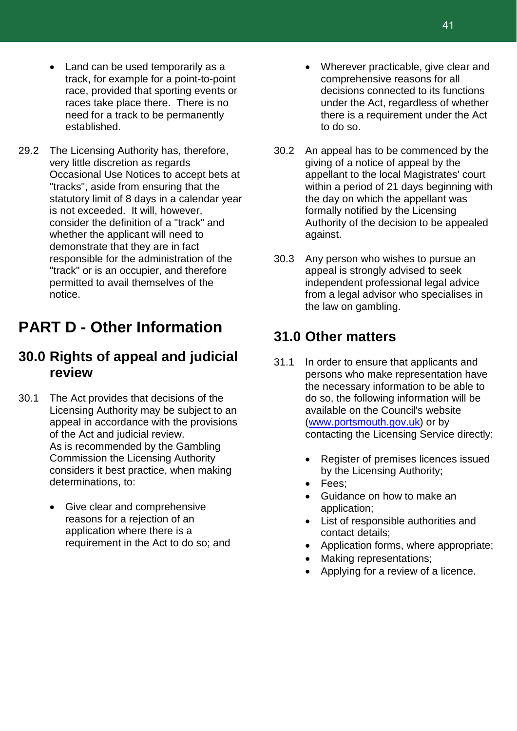- Land can be used temporarily as a track, for example for a point-to-point race, provided that sporting events or races take place there. There is no need for a track to be permanently established.
- 29.2 The Licensing Authority has, therefore, very little discretion as regards Occasional Use Notices to accept bets at "tracks", aside from ensuring that the statutory limit of 8 days in a calendar year is not exceeded. It will, however, consider the definition of a "track" and whether the applicant will need to demonstrate that they are in fact responsible for the administration of the "track" or is an occupier, and therefore permitted to avail themselves of the notice.

### **PART D - Other Information**

### **30.0 Rights of appeal and judicial review**

- 30.1 The Act provides that decisions of the Licensing Authority may be subject to an appeal in accordance with the provisions of the Act and judicial review. As is recommended by the Gambling Commission the Licensing Authority considers it best practice, when making determinations, to:
	- Give clear and comprehensive reasons for a rejection of an application where there is a requirement in the Act to do so; and
- Wherever practicable, give clear and comprehensive reasons for all decisions connected to its functions under the Act, regardless of whether there is a requirement under the Act to do so.
- 30.2 An appeal has to be commenced by the giving of a notice of appeal by the appellant to the local Magistrates' court within a period of 21 days beginning with the day on which the appellant was formally notified by the Licensing Authority of the decision to be appealed against.
- 30.3 Any person who wishes to pursue an appeal is strongly advised to seek independent professional legal advice from a legal advisor who specialises in the law on gambling.

### **31.0 Other matters**

- 31.1 In order to ensure that applicants and persons who make representation have the necessary information to be able to do so, the following information will be available on the Council's website [\(www.portsmouth.gov.uk\)](http://www.portsmouth.gov.uk/) or by contacting the Licensing Service directly:
	- Register of premises licences issued by the Licensing Authority;
	- Fees;
	- Guidance on how to make an application;
	- List of responsible authorities and contact details;
	- Application forms, where appropriate;
	- Making representations;
	- Applying for a review of a licence.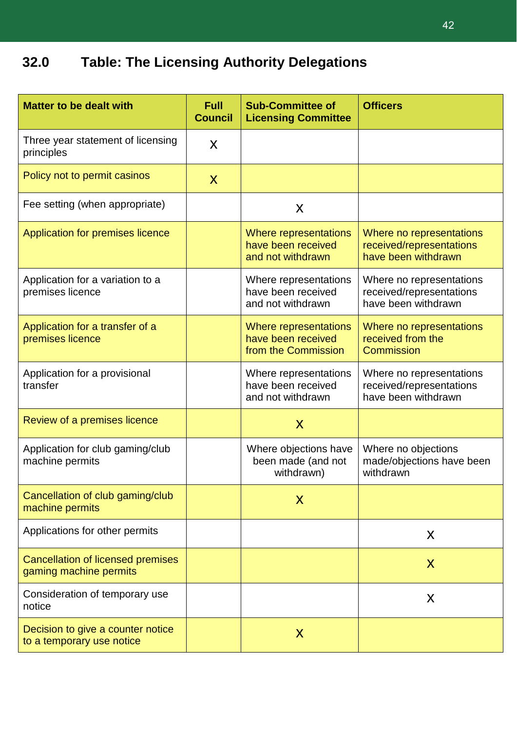## **32.0 Table: The Licensing Authority Delegations**

| <b>Matter to be dealt with</b>                                     | <b>Full</b><br><b>Council</b> | <b>Sub-Committee of</b><br><b>Licensing Committee</b>              | <b>Officers</b>                                                             |  |
|--------------------------------------------------------------------|-------------------------------|--------------------------------------------------------------------|-----------------------------------------------------------------------------|--|
| Three year statement of licensing<br>principles                    | X                             |                                                                    |                                                                             |  |
| Policy not to permit casinos                                       | X                             |                                                                    |                                                                             |  |
| Fee setting (when appropriate)                                     |                               | X                                                                  |                                                                             |  |
| Application for premises licence                                   |                               | Where representations<br>have been received<br>and not withdrawn   | Where no representations<br>received/representations<br>have been withdrawn |  |
| Application for a variation to a<br>premises licence               |                               | Where representations<br>have been received<br>and not withdrawn   | Where no representations<br>received/representations<br>have been withdrawn |  |
| Application for a transfer of a<br>premises licence                |                               | Where representations<br>have been received<br>from the Commission | Where no representations<br>received from the<br>Commission                 |  |
| Application for a provisional<br>transfer                          |                               | Where representations<br>have been received<br>and not withdrawn   | Where no representations<br>received/representations<br>have been withdrawn |  |
| Review of a premises licence                                       |                               | X                                                                  |                                                                             |  |
| Application for club gaming/club<br>machine permits                |                               | Where objections have<br>been made (and not<br>withdrawn)          | Where no objections<br>made/objections have been<br>withdrawn               |  |
| Cancellation of club gaming/club<br>machine permits                |                               | X                                                                  |                                                                             |  |
| Applications for other permits                                     |                               |                                                                    | X                                                                           |  |
| <b>Cancellation of licensed premises</b><br>gaming machine permits |                               |                                                                    | X                                                                           |  |
| Consideration of temporary use<br>notice                           |                               |                                                                    | X                                                                           |  |
| Decision to give a counter notice<br>to a temporary use notice     |                               | X                                                                  |                                                                             |  |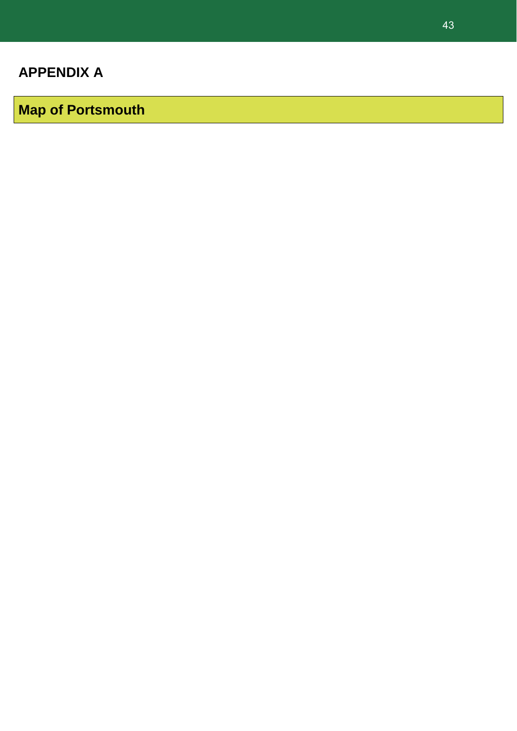**Map of Portsmouth**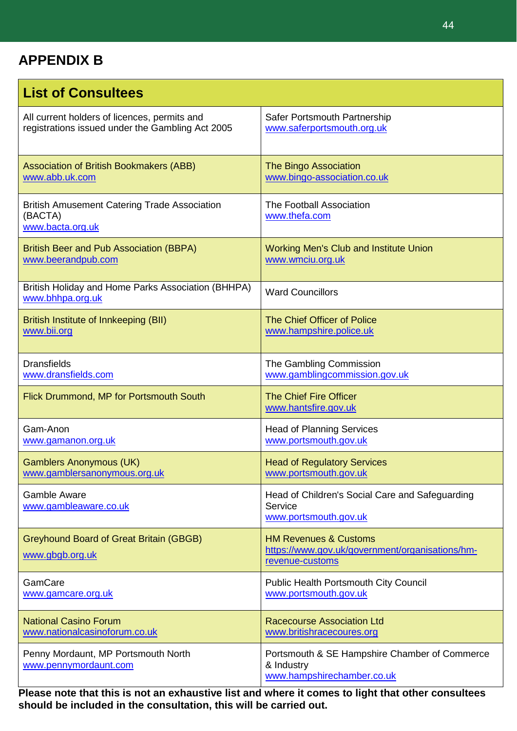### **APPENDIX B**

| <b>List of Consultees</b>                                                          |                                                                                                        |
|------------------------------------------------------------------------------------|--------------------------------------------------------------------------------------------------------|
| All current holders of licences, permits and                                       | Safer Portsmouth Partnership                                                                           |
| registrations issued under the Gambling Act 2005                                   | www.saferportsmouth.org.uk                                                                             |
| <b>Association of British Bookmakers (ABB)</b>                                     | <b>The Bingo Association</b>                                                                           |
| www.abb.uk.com                                                                     | www.bingo-association.co.uk                                                                            |
| <b>British Amusement Catering Trade Association</b><br>(BACTA)<br>www.bacta.org.uk | <b>The Football Association</b><br>www.thefa.com                                                       |
| <b>British Beer and Pub Association (BBPA)</b>                                     | <b>Working Men's Club and Institute Union</b>                                                          |
| www.beerandpub.com                                                                 | www.wmciu.org.uk                                                                                       |
| British Holiday and Home Parks Association (BHHPA)<br>www.bhhpa.org.uk             | <b>Ward Councillors</b>                                                                                |
| British Institute of Innkeeping (BII)                                              | The Chief Officer of Police                                                                            |
| www.bii.org                                                                        | www.hampshire.police.uk                                                                                |
| <b>Dransfields</b>                                                                 | The Gambling Commission                                                                                |
| www.dransfields.com                                                                | www.gamblingcommission.gov.uk                                                                          |
| Flick Drummond, MP for Portsmouth South                                            | <b>The Chief Fire Officer</b><br>www.hantsfire.gov.uk                                                  |
| Gam-Anon                                                                           | <b>Head of Planning Services</b>                                                                       |
| www.gamanon.org.uk                                                                 | www.portsmouth.gov.uk                                                                                  |
| <b>Gamblers Anonymous (UK)</b>                                                     | <b>Head of Regulatory Services</b>                                                                     |
| www.gamblersanonymous.org.uk                                                       | www.portsmouth.gov.uk                                                                                  |
| <b>Gamble Aware</b><br>www.gambleaware.co.uk                                       | Head of Children's Social Care and Safeguarding<br>Service<br>www.portsmouth.gov.uk                    |
| <b>Greyhound Board of Great Britain (GBGB)</b><br>www.gbgb.org.uk                  | <b>HM Revenues &amp; Customs</b><br>https://www.gov.uk/government/organisations/hm-<br>revenue-customs |
| GamCare                                                                            | <b>Public Health Portsmouth City Council</b>                                                           |
| www.gamcare.org.uk                                                                 | www.portsmouth.gov.uk                                                                                  |
| <b>National Casino Forum</b>                                                       | <b>Racecourse Association Ltd</b>                                                                      |
| www.nationalcasinoforum.co.uk                                                      | www.britishracecoures.org                                                                              |
| Penny Mordaunt, MP Portsmouth North<br>www.pennymordaunt.com                       | Portsmouth & SE Hampshire Chamber of Commerce<br>& Industry<br>www.hampshirechamber.co.uk              |

**Please note that this is not an exhaustive list and where it comes to light that other consultees should be included in the consultation, this will be carried out.**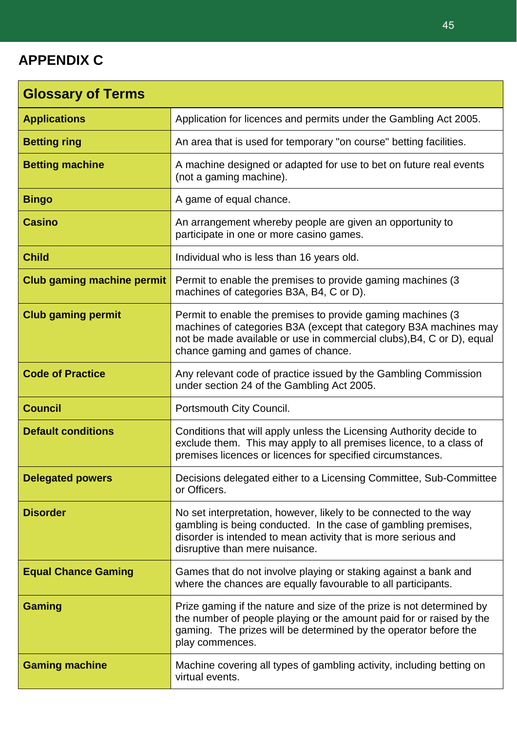### **APPENDIX C**

| <b>Glossary of Terms</b>          |                                                                                                                                                                                                                                                  |
|-----------------------------------|--------------------------------------------------------------------------------------------------------------------------------------------------------------------------------------------------------------------------------------------------|
| <b>Applications</b>               | Application for licences and permits under the Gambling Act 2005.                                                                                                                                                                                |
| <b>Betting ring</b>               | An area that is used for temporary "on course" betting facilities.                                                                                                                                                                               |
| <b>Betting machine</b>            | A machine designed or adapted for use to bet on future real events<br>(not a gaming machine).                                                                                                                                                    |
| <b>Bingo</b>                      | A game of equal chance.                                                                                                                                                                                                                          |
| <b>Casino</b>                     | An arrangement whereby people are given an opportunity to<br>participate in one or more casino games.                                                                                                                                            |
| <b>Child</b>                      | Individual who is less than 16 years old.                                                                                                                                                                                                        |
| <b>Club gaming machine permit</b> | Permit to enable the premises to provide gaming machines (3)<br>machines of categories B3A, B4, C or D).                                                                                                                                         |
| <b>Club gaming permit</b>         | Permit to enable the premises to provide gaming machines (3)<br>machines of categories B3A (except that category B3A machines may<br>not be made available or use in commercial clubs), B4, C or D), equal<br>chance gaming and games of chance. |
| <b>Code of Practice</b>           | Any relevant code of practice issued by the Gambling Commission<br>under section 24 of the Gambling Act 2005.                                                                                                                                    |
| <b>Council</b>                    | Portsmouth City Council.                                                                                                                                                                                                                         |
| <b>Default conditions</b>         | Conditions that will apply unless the Licensing Authority decide to<br>exclude them. This may apply to all premises licence, to a class of<br>premises licences or licences for specified circumstances.                                         |
| <b>Delegated powers</b>           | Decisions delegated either to a Licensing Committee, Sub-Committee<br>or Officers.                                                                                                                                                               |
| <b>Disorder</b>                   | No set interpretation, however, likely to be connected to the way<br>gambling is being conducted. In the case of gambling premises,<br>disorder is intended to mean activity that is more serious and<br>disruptive than mere nuisance.          |
| <b>Equal Chance Gaming</b>        | Games that do not involve playing or staking against a bank and<br>where the chances are equally favourable to all participants.                                                                                                                 |
| <b>Gaming</b>                     | Prize gaming if the nature and size of the prize is not determined by<br>the number of people playing or the amount paid for or raised by the<br>gaming. The prizes will be determined by the operator before the<br>play commences.             |
| <b>Gaming machine</b>             | Machine covering all types of gambling activity, including betting on<br>virtual events.                                                                                                                                                         |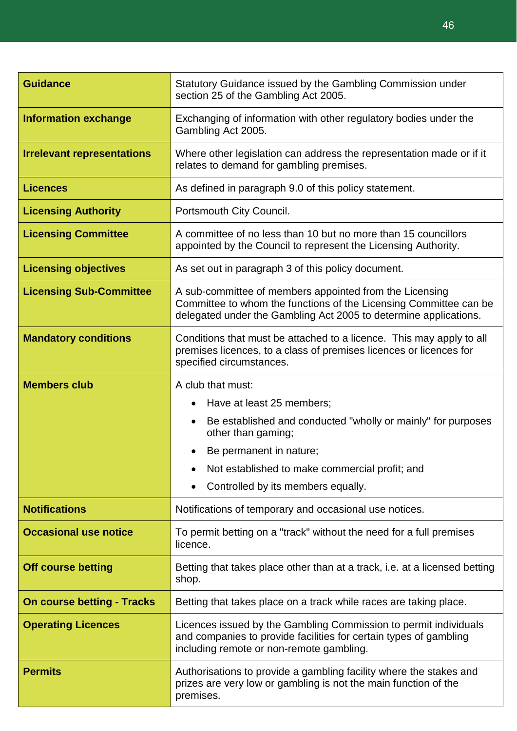| <b>Guidance</b>                   | Statutory Guidance issued by the Gambling Commission under<br>section 25 of the Gambling Act 2005.                                                                                                                                                                                |  |  |  |  |
|-----------------------------------|-----------------------------------------------------------------------------------------------------------------------------------------------------------------------------------------------------------------------------------------------------------------------------------|--|--|--|--|
| <b>Information exchange</b>       | Exchanging of information with other regulatory bodies under the<br>Gambling Act 2005.                                                                                                                                                                                            |  |  |  |  |
| <b>Irrelevant representations</b> | Where other legislation can address the representation made or if it<br>relates to demand for gambling premises.                                                                                                                                                                  |  |  |  |  |
| <b>Licences</b>                   | As defined in paragraph 9.0 of this policy statement.                                                                                                                                                                                                                             |  |  |  |  |
| <b>Licensing Authority</b>        | Portsmouth City Council.                                                                                                                                                                                                                                                          |  |  |  |  |
| <b>Licensing Committee</b>        | A committee of no less than 10 but no more than 15 councillors<br>appointed by the Council to represent the Licensing Authority.                                                                                                                                                  |  |  |  |  |
| <b>Licensing objectives</b>       | As set out in paragraph 3 of this policy document.                                                                                                                                                                                                                                |  |  |  |  |
| <b>Licensing Sub-Committee</b>    | A sub-committee of members appointed from the Licensing<br>Committee to whom the functions of the Licensing Committee can be<br>delegated under the Gambling Act 2005 to determine applications.                                                                                  |  |  |  |  |
| <b>Mandatory conditions</b>       | Conditions that must be attached to a licence. This may apply to all<br>premises licences, to a class of premises licences or licences for<br>specified circumstances.                                                                                                            |  |  |  |  |
| <b>Members club</b>               | A club that must:<br>Have at least 25 members;<br>$\bullet$<br>Be established and conducted "wholly or mainly" for purposes<br>$\bullet$<br>other than gaming;<br>Be permanent in nature;<br>Not established to make commercial profit; and<br>Controlled by its members equally. |  |  |  |  |
| <b>Notifications</b>              | Notifications of temporary and occasional use notices.                                                                                                                                                                                                                            |  |  |  |  |
| <b>Occasional use notice</b>      | To permit betting on a "track" without the need for a full premises<br>licence.                                                                                                                                                                                                   |  |  |  |  |
| <b>Off course betting</b>         | Betting that takes place other than at a track, i.e. at a licensed betting<br>shop.                                                                                                                                                                                               |  |  |  |  |
| <b>On course betting - Tracks</b> | Betting that takes place on a track while races are taking place.                                                                                                                                                                                                                 |  |  |  |  |
| <b>Operating Licences</b>         | Licences issued by the Gambling Commission to permit individuals<br>and companies to provide facilities for certain types of gambling<br>including remote or non-remote gambling.                                                                                                 |  |  |  |  |
| <b>Permits</b>                    | Authorisations to provide a gambling facility where the stakes and<br>prizes are very low or gambling is not the main function of the<br>premises.                                                                                                                                |  |  |  |  |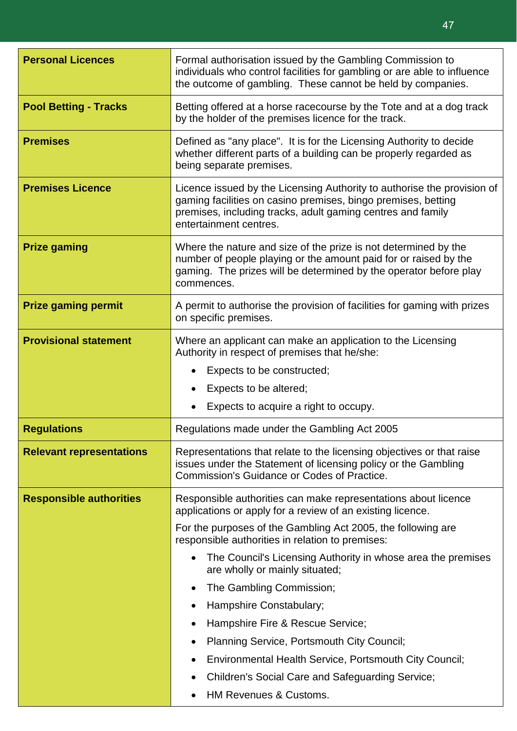| <b>Personal Licences</b>        | Formal authorisation issued by the Gambling Commission to<br>individuals who control facilities for gambling or are able to influence<br>the outcome of gambling. These cannot be held by companies.                                                                                                                                                                                                                                                                                                                                                                                                                                     |  |  |  |
|---------------------------------|------------------------------------------------------------------------------------------------------------------------------------------------------------------------------------------------------------------------------------------------------------------------------------------------------------------------------------------------------------------------------------------------------------------------------------------------------------------------------------------------------------------------------------------------------------------------------------------------------------------------------------------|--|--|--|
| <b>Pool Betting - Tracks</b>    | Betting offered at a horse racecourse by the Tote and at a dog track<br>by the holder of the premises licence for the track.                                                                                                                                                                                                                                                                                                                                                                                                                                                                                                             |  |  |  |
| <b>Premises</b>                 | Defined as "any place". It is for the Licensing Authority to decide<br>whether different parts of a building can be properly regarded as<br>being separate premises.                                                                                                                                                                                                                                                                                                                                                                                                                                                                     |  |  |  |
| <b>Premises Licence</b>         | Licence issued by the Licensing Authority to authorise the provision of<br>gaming facilities on casino premises, bingo premises, betting<br>premises, including tracks, adult gaming centres and family<br>entertainment centres.                                                                                                                                                                                                                                                                                                                                                                                                        |  |  |  |
| <b>Prize gaming</b>             | Where the nature and size of the prize is not determined by the<br>number of people playing or the amount paid for or raised by the<br>gaming. The prizes will be determined by the operator before play<br>commences.                                                                                                                                                                                                                                                                                                                                                                                                                   |  |  |  |
| <b>Prize gaming permit</b>      | A permit to authorise the provision of facilities for gaming with prizes<br>on specific premises.                                                                                                                                                                                                                                                                                                                                                                                                                                                                                                                                        |  |  |  |
| <b>Provisional statement</b>    | Where an applicant can make an application to the Licensing<br>Authority in respect of premises that he/she:<br>Expects to be constructed;<br>Expects to be altered;<br>Expects to acquire a right to occupy.                                                                                                                                                                                                                                                                                                                                                                                                                            |  |  |  |
| <b>Regulations</b>              | Regulations made under the Gambling Act 2005                                                                                                                                                                                                                                                                                                                                                                                                                                                                                                                                                                                             |  |  |  |
| <b>Relevant representations</b> | Representations that relate to the licensing objectives or that raise<br>issues under the Statement of licensing policy or the Gambling<br>Commission's Guidance or Codes of Practice.                                                                                                                                                                                                                                                                                                                                                                                                                                                   |  |  |  |
| <b>Responsible authorities</b>  | Responsible authorities can make representations about licence<br>applications or apply for a review of an existing licence.<br>For the purposes of the Gambling Act 2005, the following are<br>responsible authorities in relation to premises:<br>The Council's Licensing Authority in whose area the premises<br>are wholly or mainly situated;<br>The Gambling Commission;<br>Hampshire Constabulary;<br>Hampshire Fire & Rescue Service;<br>Planning Service, Portsmouth City Council;<br>٠<br>Environmental Health Service, Portsmouth City Council;<br>Children's Social Care and Safeguarding Service;<br>HM Revenues & Customs. |  |  |  |

47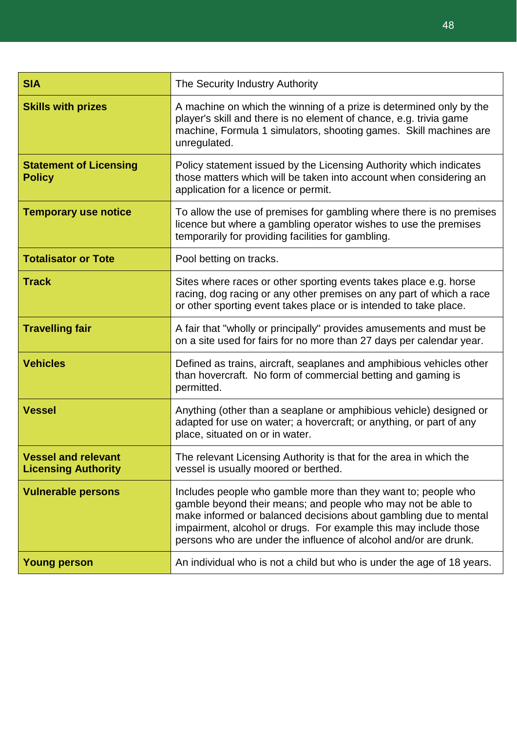| <b>SIA</b>                                               | The Security Industry Authority                                                                                                                                                                                                                                                                                                           |  |  |  |  |
|----------------------------------------------------------|-------------------------------------------------------------------------------------------------------------------------------------------------------------------------------------------------------------------------------------------------------------------------------------------------------------------------------------------|--|--|--|--|
| <b>Skills with prizes</b>                                | A machine on which the winning of a prize is determined only by the<br>player's skill and there is no element of chance, e.g. trivia game<br>machine, Formula 1 simulators, shooting games. Skill machines are<br>unregulated.                                                                                                            |  |  |  |  |
| <b>Statement of Licensing</b><br><b>Policy</b>           | Policy statement issued by the Licensing Authority which indicates<br>those matters which will be taken into account when considering an<br>application for a licence or permit.                                                                                                                                                          |  |  |  |  |
| <b>Temporary use notice</b>                              | To allow the use of premises for gambling where there is no premises<br>licence but where a gambling operator wishes to use the premises<br>temporarily for providing facilities for gambling.                                                                                                                                            |  |  |  |  |
| <b>Totalisator or Tote</b>                               | Pool betting on tracks.                                                                                                                                                                                                                                                                                                                   |  |  |  |  |
| <b>Track</b>                                             | Sites where races or other sporting events takes place e.g. horse<br>racing, dog racing or any other premises on any part of which a race<br>or other sporting event takes place or is intended to take place.                                                                                                                            |  |  |  |  |
| <b>Travelling fair</b>                                   | A fair that "wholly or principally" provides amusements and must be<br>on a site used for fairs for no more than 27 days per calendar year.                                                                                                                                                                                               |  |  |  |  |
| <b>Vehicles</b>                                          | Defined as trains, aircraft, seaplanes and amphibious vehicles other<br>than hovercraft. No form of commercial betting and gaming is<br>permitted.                                                                                                                                                                                        |  |  |  |  |
| <b>Vessel</b>                                            | Anything (other than a seaplane or amphibious vehicle) designed or<br>adapted for use on water; a hovercraft; or anything, or part of any<br>place, situated on or in water.                                                                                                                                                              |  |  |  |  |
| <b>Vessel and relevant</b><br><b>Licensing Authority</b> | The relevant Licensing Authority is that for the area in which the<br>vessel is usually moored or berthed.                                                                                                                                                                                                                                |  |  |  |  |
| <b>Vulnerable persons</b>                                | Includes people who gamble more than they want to; people who<br>gamble beyond their means; and people who may not be able to<br>make informed or balanced decisions about gambling due to mental<br>impairment, alcohol or drugs. For example this may include those<br>persons who are under the influence of alcohol and/or are drunk. |  |  |  |  |
| <b>Young person</b>                                      | An individual who is not a child but who is under the age of 18 years.                                                                                                                                                                                                                                                                    |  |  |  |  |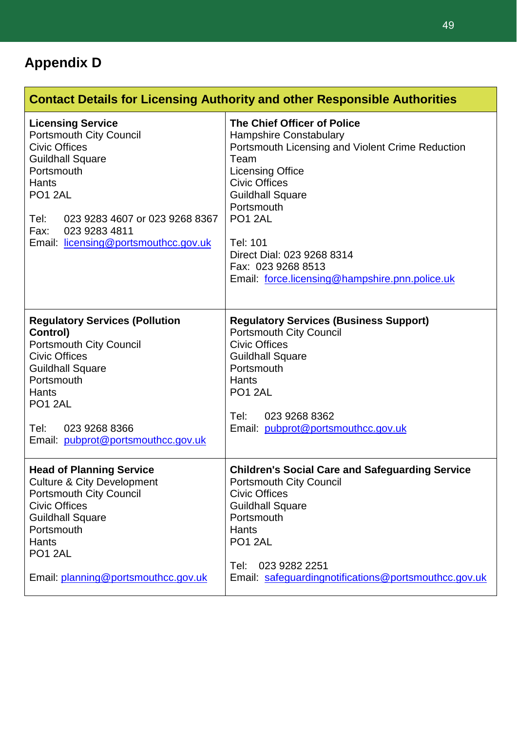### **Appendix D**

| <b>Contact Details for Licensing Authority and other Responsible Authorities</b>                                                                                                                                                                                  |                                                                                                                                                                                                                                                                                                                                                               |  |  |  |  |
|-------------------------------------------------------------------------------------------------------------------------------------------------------------------------------------------------------------------------------------------------------------------|---------------------------------------------------------------------------------------------------------------------------------------------------------------------------------------------------------------------------------------------------------------------------------------------------------------------------------------------------------------|--|--|--|--|
| <b>Licensing Service</b><br><b>Portsmouth City Council</b><br><b>Civic Offices</b><br><b>Guildhall Square</b><br>Portsmouth<br>Hants<br><b>PO1 2AL</b><br>Tel:<br>023 9283 4607 or 023 9268 8367<br>023 9283 4811<br>Fax:<br>Email: licensing@portsmouthcc.gov.uk | The Chief Officer of Police<br><b>Hampshire Constabulary</b><br>Portsmouth Licensing and Violent Crime Reduction<br>Team<br><b>Licensing Office</b><br><b>Civic Offices</b><br><b>Guildhall Square</b><br>Portsmouth<br>PO <sub>1</sub> 2AL<br>Tel: 101<br>Direct Dial: 023 9268 8314<br>Fax: 023 9268 8513<br>Email: force.licensing@hampshire.pnn.police.uk |  |  |  |  |
| <b>Regulatory Services (Pollution</b><br>Control)<br><b>Portsmouth City Council</b><br><b>Civic Offices</b><br><b>Guildhall Square</b><br>Portsmouth<br>Hants<br>PO <sub>1</sub> 2AL<br>Tel:<br>023 9268 8366<br>Email: pubprot@portsmouthcc.gov.uk               | <b>Regulatory Services (Business Support)</b><br><b>Portsmouth City Council</b><br><b>Civic Offices</b><br><b>Guildhall Square</b><br>Portsmouth<br>Hants<br>PO <sub>1</sub> 2AL<br>Tel:<br>023 9268 8362<br>Email: pubprot@portsmouthcc.gov.uk                                                                                                               |  |  |  |  |
| <b>Head of Planning Service</b><br><b>Culture &amp; City Development</b><br><b>Portsmouth City Council</b><br><b>Civic Offices</b><br><b>Guildhall Square</b><br>Portsmouth<br>Hants<br>PO1 2AL<br>Email: planning@portsmouthcc.gov.uk                            | <b>Children's Social Care and Safeguarding Service</b><br><b>Portsmouth City Council</b><br><b>Civic Offices</b><br><b>Guildhall Square</b><br>Portsmouth<br>Hants<br>PO <sub>1</sub> 2AL<br>Tel:<br>023 9282 2251<br>Email: safeguardingnotifications@portsmouthcc.gov.uk                                                                                    |  |  |  |  |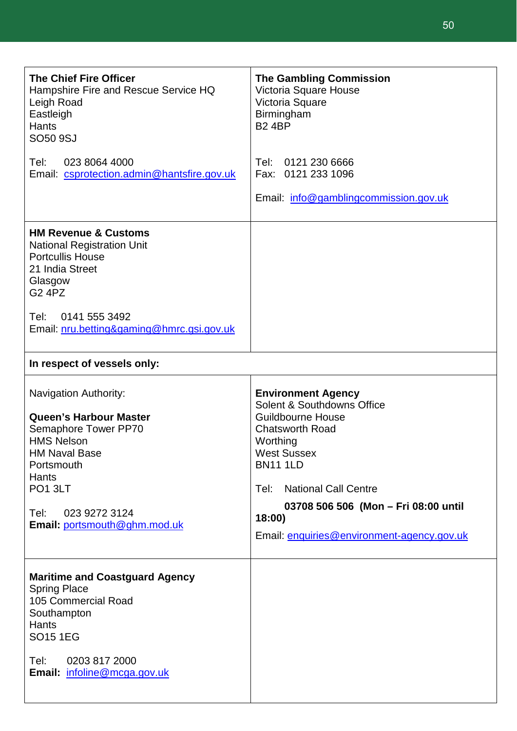| <b>The Chief Fire Officer</b><br>Hampshire Fire and Rescue Service HQ<br>Leigh Road<br>Eastleigh<br><b>Hants</b><br>SO50 9SJ                                                                                                                     | <b>The Gambling Commission</b><br>Victoria Square House<br>Victoria Square<br>Birmingham<br><b>B2 4BP</b>                                                                                                                                                                                                 |
|--------------------------------------------------------------------------------------------------------------------------------------------------------------------------------------------------------------------------------------------------|-----------------------------------------------------------------------------------------------------------------------------------------------------------------------------------------------------------------------------------------------------------------------------------------------------------|
| Tel:<br>023 8064 4000<br>Email: csprotection.admin@hantsfire.gov.uk                                                                                                                                                                              | Tel: 0121 230 6666<br>Fax: 0121 233 1096<br>Email: info@gamblingcommission.gov.uk                                                                                                                                                                                                                         |
| <b>HM Revenue &amp; Customs</b><br><b>National Registration Unit</b><br><b>Portcullis House</b><br>21 India Street<br>Glasgow<br><b>G2 4PZ</b><br>0141 555 3492<br>Tel:<br>Email: nru.betting&gaming@hmrc.gsi.gov.uk                             |                                                                                                                                                                                                                                                                                                           |
| In respect of vessels only:                                                                                                                                                                                                                      |                                                                                                                                                                                                                                                                                                           |
| <b>Navigation Authority:</b><br><b>Queen's Harbour Master</b><br>Semaphore Tower PP70<br><b>HMS Nelson</b><br><b>HM Naval Base</b><br>Portsmouth<br><b>Hants</b><br>PO <sub>1</sub> 3LT<br>023 9272 3124<br>Tel:<br>Email: portsmouth@ghm.mod.uk | <b>Environment Agency</b><br>Solent & Southdowns Office<br><b>Guildbourne House</b><br><b>Chatsworth Road</b><br>Worthing<br><b>West Sussex</b><br><b>BN11 1LD</b><br><b>National Call Centre</b><br>Tel:<br>03708 506 506 (Mon - Fri 08:00 until<br>18:00)<br>Email: enquiries@environment-agency.gov.uk |
| <b>Maritime and Coastguard Agency</b><br><b>Spring Place</b><br>105 Commercial Road<br>Southampton<br><b>Hants</b><br><b>SO15 1EG</b><br>Tel:<br>0203 817 2000<br>Email: infoline@mcga.gov.uk                                                    |                                                                                                                                                                                                                                                                                                           |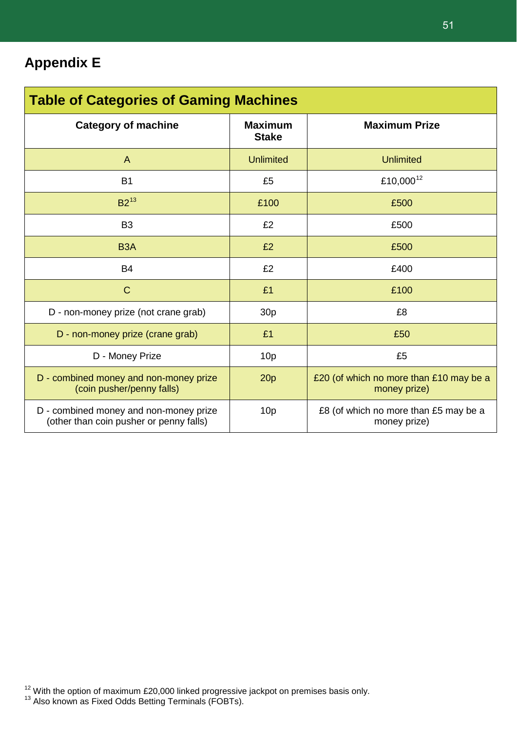| <b>Table of Categories of Gaming Machines</b>                                     |                                |                                                         |  |  |  |
|-----------------------------------------------------------------------------------|--------------------------------|---------------------------------------------------------|--|--|--|
| <b>Category of machine</b>                                                        | <b>Maximum</b><br><b>Stake</b> | <b>Maximum Prize</b>                                    |  |  |  |
| $\mathsf{A}$                                                                      | <b>Unlimited</b>               | <b>Unlimited</b>                                        |  |  |  |
| <b>B1</b>                                                                         | £5                             | £10,000 <sup>12</sup>                                   |  |  |  |
| $B2^{13}$                                                                         | £100                           | £500                                                    |  |  |  |
| B <sub>3</sub>                                                                    | £2                             | £500                                                    |  |  |  |
| B <sub>3</sub> A                                                                  | £2                             | £500                                                    |  |  |  |
| <b>B4</b>                                                                         | £2                             | £400                                                    |  |  |  |
| $\mathsf{C}$                                                                      | £1                             | £100                                                    |  |  |  |
| D - non-money prize (not crane grab)                                              | 30 <sub>p</sub>                | £8                                                      |  |  |  |
| D - non-money prize (crane grab)                                                  | £1                             | £50                                                     |  |  |  |
| D - Money Prize                                                                   | 10 <sub>p</sub>                | £5                                                      |  |  |  |
| D - combined money and non-money prize<br>(coin pusher/penny falls)               | 20p                            | £20 (of which no more than £10 may be a<br>money prize) |  |  |  |
| D - combined money and non-money prize<br>(other than coin pusher or penny falls) | 10 <sub>p</sub>                | £8 (of which no more than £5 may be a<br>money prize)   |  |  |  |

<span id="page-51-0"></span> $^{12}$  With the option of maximum £20,000 linked progressive jackpot on premises basis only.<br> $^{13}$  Also known as Fixed Odds Betting Terminals (FOBTs).

<span id="page-51-1"></span>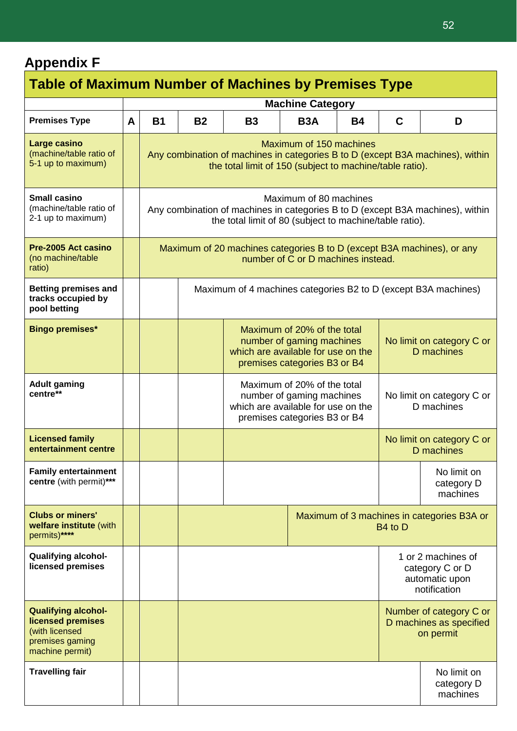### **Appendix F**

| <b>Table of Maximum Number of Machines by Premises Type</b>                                             |   |                                                                                                                                                                     |                                                                                                                                                                       |                                                                                                                                |                                                                         |                                         |                                         |                                            |
|---------------------------------------------------------------------------------------------------------|---|---------------------------------------------------------------------------------------------------------------------------------------------------------------------|-----------------------------------------------------------------------------------------------------------------------------------------------------------------------|--------------------------------------------------------------------------------------------------------------------------------|-------------------------------------------------------------------------|-----------------------------------------|-----------------------------------------|--------------------------------------------|
|                                                                                                         |   | <b>Machine Category</b>                                                                                                                                             |                                                                                                                                                                       |                                                                                                                                |                                                                         |                                         |                                         |                                            |
| <b>Premises Type</b>                                                                                    | A | <b>B1</b>                                                                                                                                                           | <b>B2</b>                                                                                                                                                             | <b>B3</b>                                                                                                                      | B <sub>3</sub> A                                                        | <b>B4</b>                               | C                                       | D                                          |
| Large casino<br>(machine/table ratio of<br>5-1 up to maximum)                                           |   |                                                                                                                                                                     | Maximum of 150 machines<br>Any combination of machines in categories B to D (except B3A machines), within<br>the total limit of 150 (subject to machine/table ratio). |                                                                                                                                |                                                                         |                                         |                                         |                                            |
| <b>Small casino</b><br>(machine/table ratio of<br>2-1 up to maximum)                                    |   | Maximum of 80 machines<br>Any combination of machines in categories B to D (except B3A machines), within<br>the total limit of 80 (subject to machine/table ratio). |                                                                                                                                                                       |                                                                                                                                |                                                                         |                                         |                                         |                                            |
| Pre-2005 Act casino<br>(no machine/table<br>ratio)                                                      |   | Maximum of 20 machines categories B to D (except B3A machines), or any<br>number of C or D machines instead.                                                        |                                                                                                                                                                       |                                                                                                                                |                                                                         |                                         |                                         |                                            |
| <b>Betting premises and</b><br>tracks occupied by<br>pool betting                                       |   |                                                                                                                                                                     |                                                                                                                                                                       | Maximum of 4 machines categories B2 to D (except B3A machines)                                                                 |                                                                         |                                         |                                         |                                            |
| <b>Bingo premises*</b>                                                                                  |   |                                                                                                                                                                     |                                                                                                                                                                       | Maximum of 20% of the total<br>number of gaming machines<br>which are available for use on the<br>premises categories B3 or B4 |                                                                         | No limit on category C or<br>D machines |                                         |                                            |
| <b>Adult gaming</b><br>centre**                                                                         |   |                                                                                                                                                                     |                                                                                                                                                                       | Maximum of 20% of the total<br>number of gaming machines<br>which are available for use on the<br>premises categories B3 or B4 |                                                                         | No limit on category C or<br>D machines |                                         |                                            |
| <b>Licensed family</b><br>entertainment centre                                                          |   |                                                                                                                                                                     |                                                                                                                                                                       |                                                                                                                                |                                                                         |                                         | No limit on category C or<br>D machines |                                            |
| <b>Family entertainment</b><br>centre (with permit)***                                                  |   |                                                                                                                                                                     |                                                                                                                                                                       |                                                                                                                                |                                                                         |                                         | No limit on<br>category D<br>machines   |                                            |
| <b>Clubs or miners'</b><br>welfare institute (with<br>permits)****                                      |   |                                                                                                                                                                     |                                                                                                                                                                       |                                                                                                                                |                                                                         |                                         | B <sub>4</sub> to D                     | Maximum of 3 machines in categories B3A or |
| <b>Qualifying alcohol-</b><br>licensed premises                                                         |   |                                                                                                                                                                     |                                                                                                                                                                       |                                                                                                                                | 1 or 2 machines of<br>category C or D<br>automatic upon<br>notification |                                         |                                         |                                            |
| <b>Qualifying alcohol-</b><br>licensed premises<br>(with licensed<br>premises gaming<br>machine permit) |   |                                                                                                                                                                     |                                                                                                                                                                       |                                                                                                                                | Number of category C or<br>D machines as specified<br>on permit         |                                         |                                         |                                            |
| <b>Travelling fair</b>                                                                                  |   |                                                                                                                                                                     |                                                                                                                                                                       |                                                                                                                                |                                                                         | No limit on<br>category D<br>machines   |                                         |                                            |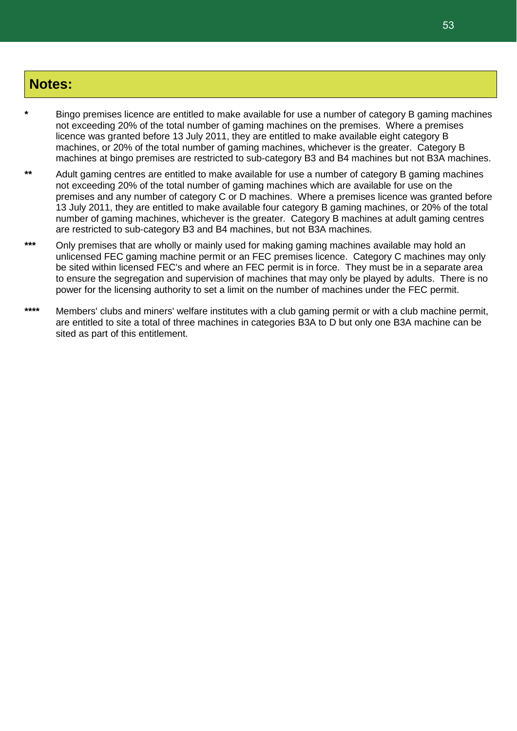#### **Notes:**

- **\*** Bingo premises licence are entitled to make available for use a number of category B gaming machines not exceeding 20% of the total number of gaming machines on the premises. Where a premises licence was granted before 13 July 2011, they are entitled to make available eight category B machines, or 20% of the total number of gaming machines, whichever is the greater. Category B machines at bingo premises are restricted to sub-category B3 and B4 machines but not B3A machines.
- Adult gaming centres are entitled to make available for use a number of category B gaming machines not exceeding 20% of the total number of gaming machines which are available for use on the premises and any number of category C or D machines. Where a premises licence was granted before 13 July 2011, they are entitled to make available four category B gaming machines, or 20% of the total number of gaming machines, whichever is the greater. Category B machines at adult gaming centres are restricted to sub-category B3 and B4 machines, but not B3A machines.
- **\*\*\*** Only premises that are wholly or mainly used for making gaming machines available may hold an unlicensed FEC gaming machine permit or an FEC premises licence. Category C machines may only be sited within licensed FEC's and where an FEC permit is in force. They must be in a separate area to ensure the segregation and supervision of machines that may only be played by adults. There is no power for the licensing authority to set a limit on the number of machines under the FEC permit.
- **\*\*\*\*** Members' clubs and miners' welfare institutes with a club gaming permit or with a club machine permit, are entitled to site a total of three machines in categories B3A to D but only one B3A machine can be sited as part of this entitlement.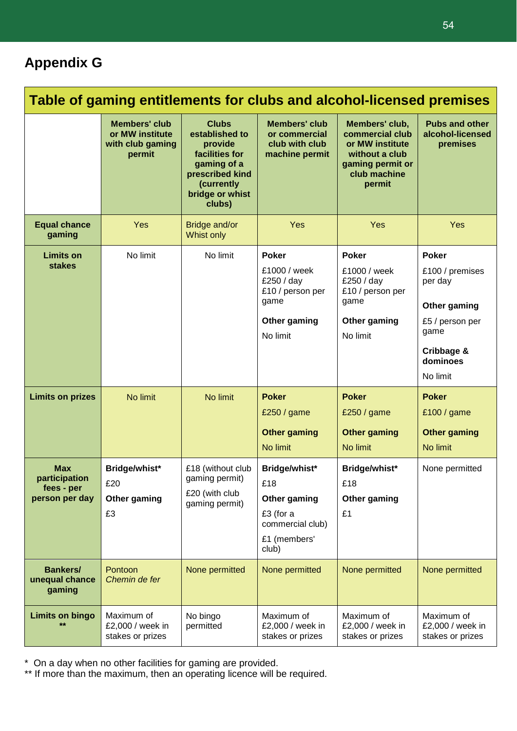### **Appendix G**

| Table of gaming entitlements for clubs and alcohol-licensed premises |                                                                       |                                                                                                                                          |                                                                                                    |                                                                                                                      |                                                                                                                             |
|----------------------------------------------------------------------|-----------------------------------------------------------------------|------------------------------------------------------------------------------------------------------------------------------------------|----------------------------------------------------------------------------------------------------|----------------------------------------------------------------------------------------------------------------------|-----------------------------------------------------------------------------------------------------------------------------|
|                                                                      | <b>Members' club</b><br>or MW institute<br>with club gaming<br>permit | <b>Clubs</b><br>established to<br>provide<br>facilities for<br>gaming of a<br>prescribed kind<br>(currently<br>bridge or whist<br>clubs) | <b>Members' club</b><br>or commercial<br>club with club<br>machine permit                          | Members' club,<br>commercial club<br>or MW institute<br>without a club<br>gaming permit or<br>club machine<br>permit | <b>Pubs and other</b><br>alcohol-licensed<br>premises                                                                       |
| <b>Equal chance</b><br>gaming                                        | Yes                                                                   | Bridge and/or<br>Whist only                                                                                                              | <b>Yes</b>                                                                                         | Yes                                                                                                                  | <b>Yes</b>                                                                                                                  |
| <b>Limits on</b><br><b>stakes</b>                                    | No limit                                                              | No limit                                                                                                                                 | <b>Poker</b><br>£1000 / week<br>£250 / day<br>£10 / person per<br>game<br>Other gaming<br>No limit | <b>Poker</b><br>£1000 / week<br>£250 / day<br>£10 / person per<br>game<br>Other gaming<br>No limit                   | <b>Poker</b><br>£100 / premises<br>per day<br>Other gaming<br>£5 / person per<br>game<br>Cribbage &<br>dominoes<br>No limit |
| <b>Limits on prizes</b>                                              | No limit                                                              | No limit                                                                                                                                 | <b>Poker</b><br>£250 / game<br><b>Other gaming</b><br>No limit                                     | <b>Poker</b><br>£250 / game<br><b>Other gaming</b><br>No limit                                                       | <b>Poker</b><br>£100 / game<br><b>Other gaming</b><br>No limit                                                              |
| <b>Max</b><br>participation<br>fees - per<br>person per day          | Bridge/whist*<br>£20<br>Other gaming<br>£3                            | £18 (without club<br>gaming permit)<br>£20 (with club<br>gaming permit)                                                                  | Bridge/whist*<br>£18<br>Other gaming<br>£3 (for a<br>commercial club)<br>£1 (members'<br>club)     | Bridge/whist*<br>£18<br>Other gaming<br>£1                                                                           | None permitted                                                                                                              |
| <b>Bankers/</b><br>unequal chance<br>gaming                          | Pontoon<br>Chemin de fer                                              | None permitted                                                                                                                           | None permitted                                                                                     | None permitted                                                                                                       | None permitted                                                                                                              |
| <b>Limits on bingo</b>                                               | Maximum of<br>£2,000 / week in<br>stakes or prizes                    | No bingo<br>permitted                                                                                                                    | Maximum of<br>£2,000 / week in<br>stakes or prizes                                                 | Maximum of<br>£2,000 / week in<br>stakes or prizes                                                                   | Maximum of<br>£2,000 / week in<br>stakes or prizes                                                                          |

\* On a day when no other facilities for gaming are provided.

\*\* If more than the maximum, then an operating licence will be required.